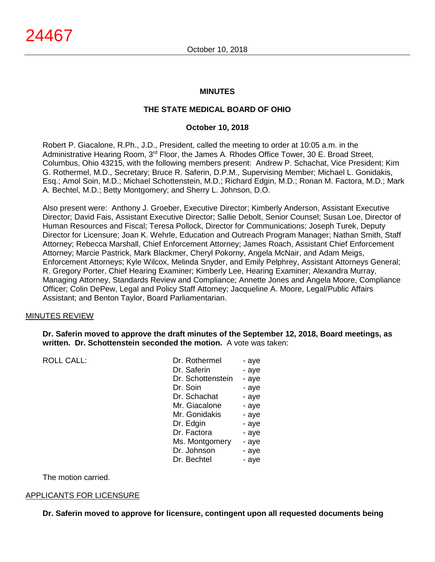#### **MINUTES**

# **THE STATE MEDICAL BOARD OF OHIO**

### **October 10, 2018**

Robert P. Giacalone, R.Ph., J.D., President, called the meeting to order at 10:05 a.m. in the Administrative Hearing Room, 3rd Floor, the James A. Rhodes Office Tower, 30 E. Broad Street, Columbus, Ohio 43215, with the following members present: Andrew P. Schachat, Vice President; Kim G. Rothermel, M.D., Secretary; Bruce R. Saferin, D.P.M., Supervising Member; Michael L. Gonidakis, Esq.; Amol Soin, M.D.; Michael Schottenstein, M.D.; Richard Edgin, M.D.; Ronan M. Factora, M.D.; Mark A. Bechtel, M.D.; Betty Montgomery; and Sherry L. Johnson, D.O.

Also present were: Anthony J. Groeber, Executive Director; Kimberly Anderson, Assistant Executive Director; David Fais, Assistant Executive Director; Sallie Debolt, Senior Counsel; Susan Loe, Director of Human Resources and Fiscal; Teresa Pollock, Director for Communications; Joseph Turek, Deputy Director for Licensure; Joan K. Wehrle, Education and Outreach Program Manager; Nathan Smith, Staff Attorney; Rebecca Marshall, Chief Enforcement Attorney; James Roach, Assistant Chief Enforcement Attorney; Marcie Pastrick, Mark Blackmer, Cheryl Pokorny, Angela McNair, and Adam Meigs, Enforcement Attorneys; Kyle Wilcox, Melinda Snyder, and Emily Pelphrey, Assistant Attorneys General; R. Gregory Porter, Chief Hearing Examiner; Kimberly Lee, Hearing Examiner; Alexandra Murray, Managing Attorney, Standards Review and Compliance; Annette Jones and Angela Moore, Compliance Officer; Colin DePew, Legal and Policy Staff Attorney; Jacqueline A. Moore, Legal/Public Affairs Assistant; and Benton Taylor, Board Parliamentarian.

#### MINUTES REVIEW

ROLL CALL:

**Dr. Saferin moved to approve the draft minutes of the September 12, 2018, Board meetings, as written. Dr. Schottenstein seconded the motion.** A vote was taken:

| - aye |
|-------|
| - aye |
| - aye |
| - aye |
| - aye |
| - aye |
| - aye |
| - aye |
| - aye |
| - aye |
| - aye |
| - aye |
|       |

The motion carried.

#### APPLICANTS FOR LICENSURE

**Dr. Saferin moved to approve for licensure, contingent upon all requested documents being**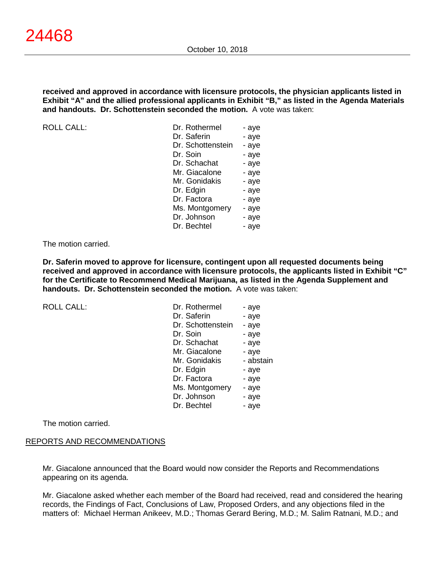**received and approved in accordance with licensure protocols, the physician applicants listed in Exhibit "A" and the allied professional applicants in Exhibit "B," as listed in the Agenda Materials and handouts. Dr. Schottenstein seconded the motion.** A vote was taken:

 $ROILCAII$ :

| Dr. Rothermel     | - aye |
|-------------------|-------|
| Dr. Saferin       | - aye |
| Dr. Schottenstein | - aye |
| Dr. Soin          | - aye |
| Dr. Schachat      | - aye |
| Mr. Giacalone     | - aye |
| Mr. Gonidakis     | - aye |
| Dr. Edgin         | - aye |
| Dr. Factora       | - aye |
| Ms. Montgomery    | - aye |
| Dr. Johnson       | - aye |
| Dr. Bechtel       | - aye |

#### The motion carried.

**Dr. Saferin moved to approve for licensure, contingent upon all requested documents being received and approved in accordance with licensure protocols, the applicants listed in Exhibit "C" for the Certificate to Recommend Medical Marijuana, as listed in the Agenda Supplement and handouts. Dr. Schottenstein seconded the motion.** A vote was taken:

ROLL CALL:

| - aye     |
|-----------|
|           |
| - aye     |
| - aye     |
| - aye     |
| - aye     |
| - aye     |
| - abstain |
| - aye     |
| - aye     |
| - aye     |
| - aye     |
| - aye     |
|           |

The motion carried.

#### REPORTS AND RECOMMENDATIONS

Mr. Giacalone announced that the Board would now consider the Reports and Recommendations appearing on its agenda.

Mr. Giacalone asked whether each member of the Board had received, read and considered the hearing records, the Findings of Fact, Conclusions of Law, Proposed Orders, and any objections filed in the matters of: Michael Herman Anikeev, M.D.; Thomas Gerard Bering, M.D.; M. Salim Ratnani, M.D.; and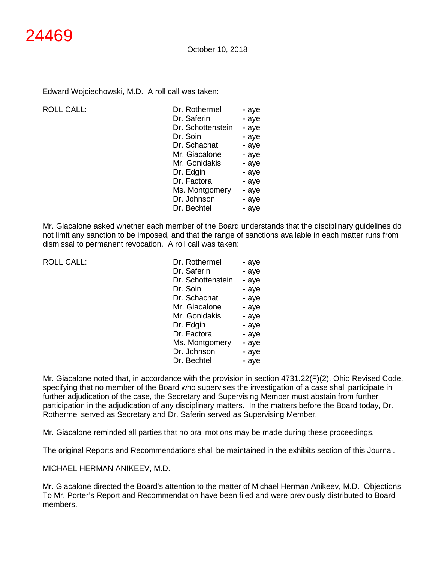Edward Wojciechowski, M.D. A roll call was taken:

ROLL CALL:

| Dr. Rothermel     | - aye |
|-------------------|-------|
| Dr. Saferin       | - aye |
| Dr. Schottenstein | - aye |
| Dr. Soin          | - aye |
| Dr. Schachat      | - aye |
| Mr. Giacalone     | - aye |
| Mr. Gonidakis     | - aye |
| Dr. Edgin         | - aye |
| Dr. Factora       | - aye |
| Ms. Montgomery    | - aye |
| Dr. Johnson       | - aye |
| Dr. Bechtel       | - aye |
|                   |       |

Mr. Giacalone asked whether each member of the Board understands that the disciplinary guidelines do not limit any sanction to be imposed, and that the range of sanctions available in each matter runs from dismissal to permanent revocation. A roll call was taken:

ROLL CALL:

| Dr. Rothermel     | - aye |
|-------------------|-------|
| Dr. Saferin       | - aye |
| Dr. Schottenstein | - aye |
| Dr. Soin          | - aye |
| Dr. Schachat      | - aye |
| Mr. Giacalone     | - aye |
| Mr. Gonidakis     | - aye |
| Dr. Edgin         | - aye |
| Dr. Factora       | - aye |
| Ms. Montgomery    | - aye |
| Dr. Johnson       | - aye |
| Dr. Bechtel       | - aye |

Mr. Giacalone noted that, in accordance with the provision in section 4731.22(F)(2), Ohio Revised Code, specifying that no member of the Board who supervises the investigation of a case shall participate in further adjudication of the case, the Secretary and Supervising Member must abstain from further participation in the adjudication of any disciplinary matters. In the matters before the Board today, Dr. Rothermel served as Secretary and Dr. Saferin served as Supervising Member.

Mr. Giacalone reminded all parties that no oral motions may be made during these proceedings.

The original Reports and Recommendations shall be maintained in the exhibits section of this Journal.

#### MICHAEL HERMAN ANIKEEV, M.D.

Mr. Giacalone directed the Board's attention to the matter of Michael Herman Anikeev, M.D. Objections To Mr. Porter's Report and Recommendation have been filed and were previously distributed to Board members.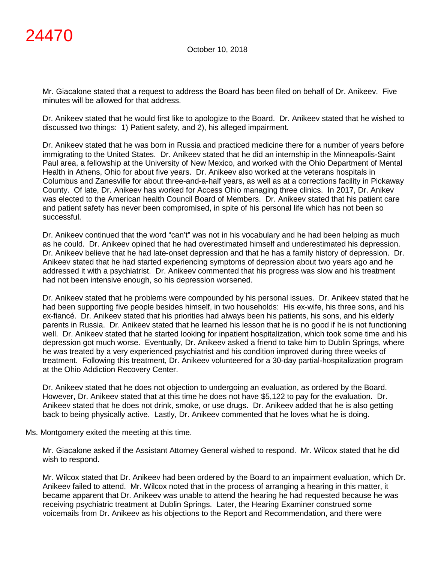Mr. Giacalone stated that a request to address the Board has been filed on behalf of Dr. Anikeev. Five minutes will be allowed for that address.

Dr. Anikeev stated that he would first like to apologize to the Board. Dr. Anikeev stated that he wished to discussed two things: 1) Patient safety, and 2), his alleged impairment.

Dr. Anikeev stated that he was born in Russia and practiced medicine there for a number of years before immigrating to the United States. Dr. Anikeev stated that he did an internship in the Minneapolis-Saint Paul area, a fellowship at the University of New Mexico, and worked with the Ohio Department of Mental Health in Athens, Ohio for about five years. Dr. Anikeev also worked at the veterans hospitals in Columbus and Zanesville for about three-and-a-half years, as well as at a corrections facility in Pickaway County. Of late, Dr. Anikeev has worked for Access Ohio managing three clinics. In 2017, Dr. Anikev was elected to the American health Council Board of Members. Dr. Anikeev stated that his patient care and patient safety has never been compromised, in spite of his personal life which has not been so successful.

Dr. Anikeev continued that the word "can't" was not in his vocabulary and he had been helping as much as he could. Dr. Anikeev opined that he had overestimated himself and underestimated his depression. Dr. Anikeev believe that he had late-onset depression and that he has a family history of depression. Dr. Anikeev stated that he had started experiencing symptoms of depression about two years ago and he addressed it with a psychiatrist. Dr. Anikeev commented that his progress was slow and his treatment had not been intensive enough, so his depression worsened.

Dr. Anikeev stated that he problems were compounded by his personal issues. Dr. Anikeev stated that he had been supporting five people besides himself, in two households: His ex-wife, his three sons, and his ex-fiancé. Dr. Anikeev stated that his priorities had always been his patients, his sons, and his elderly parents in Russia. Dr. Anikeev stated that he learned his lesson that he is no good if he is not functioning well. Dr. Anikeev stated that he started looking for inpatient hospitalization, which took some time and his depression got much worse. Eventually, Dr. Anikeev asked a friend to take him to Dublin Springs, where he was treated by a very experienced psychiatrist and his condition improved during three weeks of treatment. Following this treatment, Dr. Anikeev volunteered for a 30-day partial-hospitalization program at the Ohio Addiction Recovery Center.

Dr. Anikeev stated that he does not objection to undergoing an evaluation, as ordered by the Board. However, Dr. Anikeev stated that at this time he does not have \$5,122 to pay for the evaluation. Dr. Anikeev stated that he does not drink, smoke, or use drugs. Dr. Anikeev added that he is also getting back to being physically active. Lastly, Dr. Anikeev commented that he loves what he is doing.

#### Ms. Montgomery exited the meeting at this time.

Mr. Giacalone asked if the Assistant Attorney General wished to respond. Mr. Wilcox stated that he did wish to respond.

Mr. Wilcox stated that Dr. Anikeev had been ordered by the Board to an impairment evaluation, which Dr. Anikeev failed to attend. Mr. Wilcox noted that in the process of arranging a hearing in this matter, it became apparent that Dr. Anikeev was unable to attend the hearing he had requested because he was receiving psychiatric treatment at Dublin Springs. Later, the Hearing Examiner construed some voicemails from Dr. Anikeev as his objections to the Report and Recommendation, and there were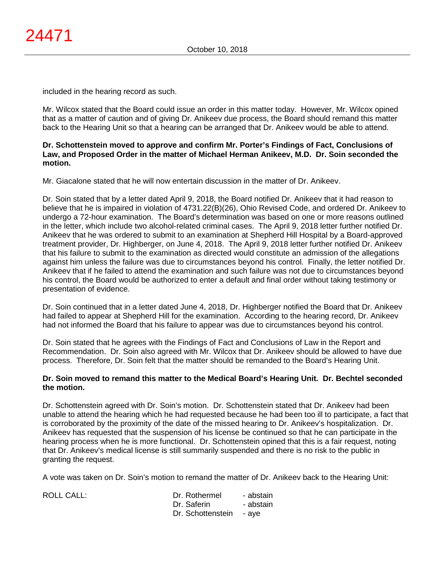included in the hearing record as such.

Mr. Wilcox stated that the Board could issue an order in this matter today. However, Mr. Wilcox opined that as a matter of caution and of giving Dr. Anikeev due process, the Board should remand this matter back to the Hearing Unit so that a hearing can be arranged that Dr. Anikeev would be able to attend.

#### **Dr. Schottenstein moved to approve and confirm Mr. Porter's Findings of Fact, Conclusions of Law, and Proposed Order in the matter of Michael Herman Anikeev, M.D. Dr. Soin seconded the motion.**

Mr. Giacalone stated that he will now entertain discussion in the matter of Dr. Anikeev.

Dr. Soin stated that by a letter dated April 9, 2018, the Board notified Dr. Anikeev that it had reason to believe that he is impaired in violation of 4731.22(B)(26), Ohio Revised Code, and ordered Dr. Anikeev to undergo a 72-hour examination. The Board's determination was based on one or more reasons outlined in the letter, which include two alcohol-related criminal cases. The April 9, 2018 letter further notified Dr. Anikeev that he was ordered to submit to an examination at Shepherd Hill Hospital by a Board-approved treatment provider, Dr. Highberger, on June 4, 2018. The April 9, 2018 letter further notified Dr. Anikeev that his failure to submit to the examination as directed would constitute an admission of the allegations against him unless the failure was due to circumstances beyond his control. Finally, the letter notified Dr. Anikeev that if he failed to attend the examination and such failure was not due to circumstances beyond his control, the Board would be authorized to enter a default and final order without taking testimony or presentation of evidence.

Dr. Soin continued that in a letter dated June 4, 2018, Dr. Highberger notified the Board that Dr. Anikeev had failed to appear at Shepherd Hill for the examination. According to the hearing record, Dr. Anikeev had not informed the Board that his failure to appear was due to circumstances beyond his control.

Dr. Soin stated that he agrees with the Findings of Fact and Conclusions of Law in the Report and Recommendation. Dr. Soin also agreed with Mr. Wilcox that Dr. Anikeev should be allowed to have due process. Therefore, Dr. Soin felt that the matter should be remanded to the Board's Hearing Unit.

#### **Dr. Soin moved to remand this matter to the Medical Board's Hearing Unit. Dr. Bechtel seconded the motion.**

Dr. Schottenstein agreed with Dr. Soin's motion. Dr. Schottenstein stated that Dr. Anikeev had been unable to attend the hearing which he had requested because he had been too ill to participate, a fact that is corroborated by the proximity of the date of the missed hearing to Dr. Anikeev's hospitalization. Dr. Anikeev has requested that the suspension of his license be continued so that he can participate in the hearing process when he is more functional. Dr. Schottenstein opined that this is a fair request, noting that Dr. Anikeev's medical license is still summarily suspended and there is no risk to the public in granting the request.

A vote was taken on Dr. Soin's motion to remand the matter of Dr. Anikeev back to the Hearing Unit:

ROLL CALL: Dr. Rothermel - abstain Dr. Saferin - abstain Dr. Schottenstein - ave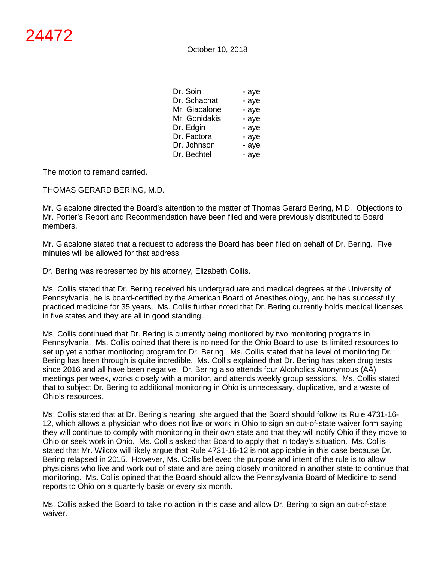| Dr. Soin      | - aye |
|---------------|-------|
| Dr. Schachat  | - aye |
| Mr. Giacalone | - aye |
| Mr. Gonidakis | - aye |
| Dr. Edgin     | - aye |
| Dr. Factora   | - aye |
| Dr. Johnson   | - aye |
| Dr. Bechtel   | - aye |

The motion to remand carried.

### THOMAS GERARD BERING, M.D.

Mr. Giacalone directed the Board's attention to the matter of Thomas Gerard Bering, M.D. Objections to Mr. Porter's Report and Recommendation have been filed and were previously distributed to Board members.

Mr. Giacalone stated that a request to address the Board has been filed on behalf of Dr. Bering. Five minutes will be allowed for that address.

Dr. Bering was represented by his attorney, Elizabeth Collis.

Ms. Collis stated that Dr. Bering received his undergraduate and medical degrees at the University of Pennsylvania, he is board-certified by the American Board of Anesthesiology, and he has successfully practiced medicine for 35 years. Ms. Collis further noted that Dr. Bering currently holds medical licenses in five states and they are all in good standing.

Ms. Collis continued that Dr. Bering is currently being monitored by two monitoring programs in Pennsylvania. Ms. Collis opined that there is no need for the Ohio Board to use its limited resources to set up yet another monitoring program for Dr. Bering. Ms. Collis stated that he level of monitoring Dr. Bering has been through is quite incredible. Ms. Collis explained that Dr. Bering has taken drug tests since 2016 and all have been negative. Dr. Bering also attends four Alcoholics Anonymous (AA) meetings per week, works closely with a monitor, and attends weekly group sessions. Ms. Collis stated that to subject Dr. Bering to additional monitoring in Ohio is unnecessary, duplicative, and a waste of Ohio's resources.

Ms. Collis stated that at Dr. Bering's hearing, she argued that the Board should follow its Rule 4731-16- 12, which allows a physician who does not live or work in Ohio to sign an out-of-state waiver form saying they will continue to comply with monitoring in their own state and that they will notify Ohio if they move to Ohio or seek work in Ohio. Ms. Collis asked that Board to apply that in today's situation. Ms. Collis stated that Mr. Wilcox will likely argue that Rule 4731-16-12 is not applicable in this case because Dr. Bering relapsed in 2015. However, Ms. Collis believed the purpose and intent of the rule is to allow physicians who live and work out of state and are being closely monitored in another state to continue that monitoring. Ms. Collis opined that the Board should allow the Pennsylvania Board of Medicine to send reports to Ohio on a quarterly basis or every six month.

Ms. Collis asked the Board to take no action in this case and allow Dr. Bering to sign an out-of-state waiver.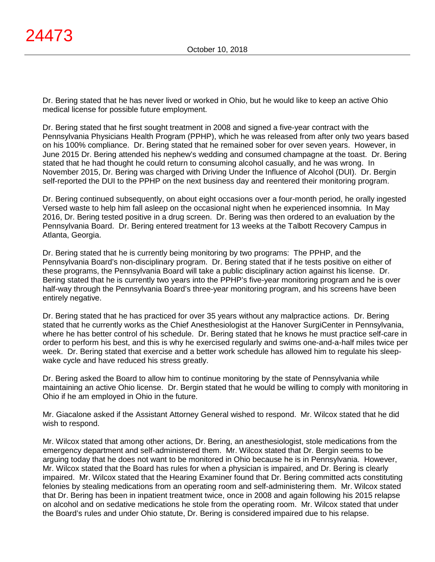Dr. Bering stated that he has never lived or worked in Ohio, but he would like to keep an active Ohio medical license for possible future employment.

Dr. Bering stated that he first sought treatment in 2008 and signed a five-year contract with the Pennsylvania Physicians Health Program (PPHP), which he was released from after only two years based on his 100% compliance. Dr. Bering stated that he remained sober for over seven years. However, in June 2015 Dr. Bering attended his nephew's wedding and consumed champagne at the toast. Dr. Bering stated that he had thought he could return to consuming alcohol casually, and he was wrong. In November 2015, Dr. Bering was charged with Driving Under the Influence of Alcohol (DUI). Dr. Bergin self-reported the DUI to the PPHP on the next business day and reentered their monitoring program.

Dr. Bering continued subsequently, on about eight occasions over a four-month period, he orally ingested Versed waste to help him fall asleep on the occasional night when he experienced insomnia. In May 2016, Dr. Bering tested positive in a drug screen. Dr. Bering was then ordered to an evaluation by the Pennsylvania Board. Dr. Bering entered treatment for 13 weeks at the Talbott Recovery Campus in Atlanta, Georgia.

Dr. Bering stated that he is currently being monitoring by two programs: The PPHP, and the Pennsylvania Board's non-disciplinary program. Dr. Bering stated that if he tests positive on either of these programs, the Pennsylvania Board will take a public disciplinary action against his license. Dr. Bering stated that he is currently two years into the PPHP's five-year monitoring program and he is over half-way through the Pennsylvania Board's three-year monitoring program, and his screens have been entirely negative.

Dr. Bering stated that he has practiced for over 35 years without any malpractice actions. Dr. Bering stated that he currently works as the Chief Anesthesiologist at the Hanover SurgiCenter in Pennsylvania, where he has better control of his schedule. Dr. Bering stated that he knows he must practice self-care in order to perform his best, and this is why he exercised regularly and swims one-and-a-half miles twice per week. Dr. Bering stated that exercise and a better work schedule has allowed him to regulate his sleepwake cycle and have reduced his stress greatly.

Dr. Bering asked the Board to allow him to continue monitoring by the state of Pennsylvania while maintaining an active Ohio license. Dr. Bergin stated that he would be willing to comply with monitoring in Ohio if he am employed in Ohio in the future.

Mr. Giacalone asked if the Assistant Attorney General wished to respond. Mr. Wilcox stated that he did wish to respond.

Mr. Wilcox stated that among other actions, Dr. Bering, an anesthesiologist, stole medications from the emergency department and self-administered them. Mr. Wilcox stated that Dr. Bergin seems to be arguing today that he does not want to be monitored in Ohio because he is in Pennsylvania. However, Mr. Wilcox stated that the Board has rules for when a physician is impaired, and Dr. Bering is clearly impaired. Mr. Wilcox stated that the Hearing Examiner found that Dr. Bering committed acts constituting felonies by stealing medications from an operating room and self-administering them. Mr. Wilcox stated that Dr. Bering has been in inpatient treatment twice, once in 2008 and again following his 2015 relapse on alcohol and on sedative medications he stole from the operating room. Mr. Wilcox stated that under the Board's rules and under Ohio statute, Dr. Bering is considered impaired due to his relapse.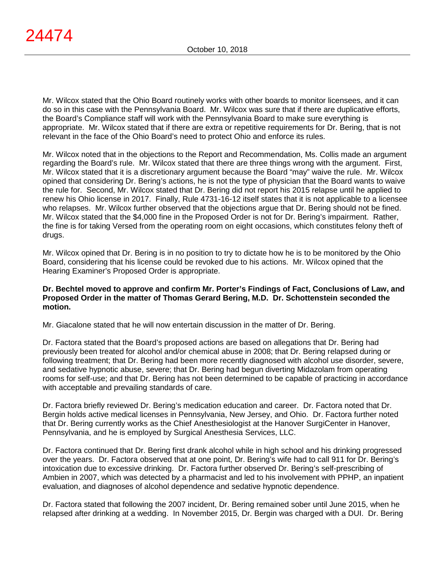Mr. Wilcox stated that the Ohio Board routinely works with other boards to monitor licensees, and it can do so in this case with the Pennsylvania Board. Mr. Wilcox was sure that if there are duplicative efforts, the Board's Compliance staff will work with the Pennsylvania Board to make sure everything is appropriate. Mr. Wilcox stated that if there are extra or repetitive requirements for Dr. Bering, that is not relevant in the face of the Ohio Board's need to protect Ohio and enforce its rules.

Mr. Wilcox noted that in the objections to the Report and Recommendation, Ms. Collis made an argument regarding the Board's rule. Mr. Wilcox stated that there are three things wrong with the argument. First, Mr. Wilcox stated that it is a discretionary argument because the Board "may" waive the rule. Mr. Wilcox opined that considering Dr. Bering's actions, he is not the type of physician that the Board wants to waive the rule for. Second, Mr. Wilcox stated that Dr. Bering did not report his 2015 relapse until he applied to renew his Ohio license in 2017. Finally, Rule 4731-16-12 itself states that it is not applicable to a licensee who relapses. Mr. Wilcox further observed that the objections argue that Dr. Bering should not be fined. Mr. Wilcox stated that the \$4,000 fine in the Proposed Order is not for Dr. Bering's impairment. Rather, the fine is for taking Versed from the operating room on eight occasions, which constitutes felony theft of drugs.

Mr. Wilcox opined that Dr. Bering is in no position to try to dictate how he is to be monitored by the Ohio Board, considering that his license could be revoked due to his actions. Mr. Wilcox opined that the Hearing Examiner's Proposed Order is appropriate.

#### **Dr. Bechtel moved to approve and confirm Mr. Porter's Findings of Fact, Conclusions of Law, and Proposed Order in the matter of Thomas Gerard Bering, M.D. Dr. Schottenstein seconded the motion.**

Mr. Giacalone stated that he will now entertain discussion in the matter of Dr. Bering.

Dr. Factora stated that the Board's proposed actions are based on allegations that Dr. Bering had previously been treated for alcohol and/or chemical abuse in 2008; that Dr. Bering relapsed during or following treatment; that Dr. Bering had been more recently diagnosed with alcohol use disorder, severe, and sedative hypnotic abuse, severe; that Dr. Bering had begun diverting Midazolam from operating rooms for self-use; and that Dr. Bering has not been determined to be capable of practicing in accordance with acceptable and prevailing standards of care.

Dr. Factora briefly reviewed Dr. Bering's medication education and career. Dr. Factora noted that Dr. Bergin holds active medical licenses in Pennsylvania, New Jersey, and Ohio. Dr. Factora further noted that Dr. Bering currently works as the Chief Anesthesiologist at the Hanover SurgiCenter in Hanover, Pennsylvania, and he is employed by Surgical Anesthesia Services, LLC.

Dr. Factora continued that Dr. Bering first drank alcohol while in high school and his drinking progressed over the years. Dr. Factora observed that at one point, Dr. Bering's wife had to call 911 for Dr. Bering's intoxication due to excessive drinking. Dr. Factora further observed Dr. Bering's self-prescribing of Ambien in 2007, which was detected by a pharmacist and led to his involvement with PPHP, an inpatient evaluation, and diagnoses of alcohol dependence and sedative hypnotic dependence.

Dr. Factora stated that following the 2007 incident, Dr. Bering remained sober until June 2015, when he relapsed after drinking at a wedding. In November 2015, Dr. Bergin was charged with a DUI. Dr. Bering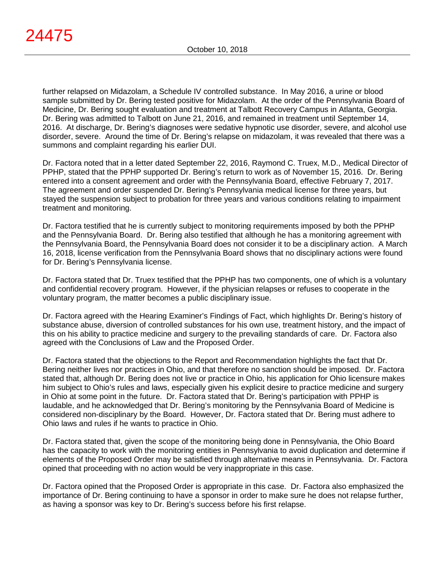further relapsed on Midazolam, a Schedule IV controlled substance. In May 2016, a urine or blood sample submitted by Dr. Bering tested positive for Midazolam. At the order of the Pennsylvania Board of Medicine, Dr. Bering sought evaluation and treatment at Talbott Recovery Campus in Atlanta, Georgia. Dr. Bering was admitted to Talbott on June 21, 2016, and remained in treatment until September 14, 2016. At discharge, Dr. Bering's diagnoses were sedative hypnotic use disorder, severe, and alcohol use disorder, severe. Around the time of Dr. Bering's relapse on midazolam, it was revealed that there was a summons and complaint regarding his earlier DUI.

Dr. Factora noted that in a letter dated September 22, 2016, Raymond C. Truex, M.D., Medical Director of PPHP, stated that the PPHP supported Dr. Bering's return to work as of November 15, 2016. Dr. Bering entered into a consent agreement and order with the Pennsylvania Board, effective February 7, 2017. The agreement and order suspended Dr. Bering's Pennsylvania medical license for three years, but stayed the suspension subject to probation for three years and various conditions relating to impairment treatment and monitoring.

Dr. Factora testified that he is currently subject to monitoring requirements imposed by both the PPHP and the Pennsylvania Board. Dr. Bering also testified that although he has a monitoring agreement with the Pennsylvania Board, the Pennsylvania Board does not consider it to be a disciplinary action. A March 16, 2018, license verification from the Pennsylvania Board shows that no disciplinary actions were found for Dr. Bering's Pennsylvania license.

Dr. Factora stated that Dr. Truex testified that the PPHP has two components, one of which is a voluntary and confidential recovery program. However, if the physician relapses or refuses to cooperate in the voluntary program, the matter becomes a public disciplinary issue.

Dr. Factora agreed with the Hearing Examiner's Findings of Fact, which highlights Dr. Bering's history of substance abuse, diversion of controlled substances for his own use, treatment history, and the impact of this on his ability to practice medicine and surgery to the prevailing standards of care. Dr. Factora also agreed with the Conclusions of Law and the Proposed Order.

Dr. Factora stated that the objections to the Report and Recommendation highlights the fact that Dr. Bering neither lives nor practices in Ohio, and that therefore no sanction should be imposed. Dr. Factora stated that, although Dr. Bering does not live or practice in Ohio, his application for Ohio licensure makes him subject to Ohio's rules and laws, especially given his explicit desire to practice medicine and surgery in Ohio at some point in the future. Dr. Factora stated that Dr. Bering's participation with PPHP is laudable, and he acknowledged that Dr. Bering's monitoring by the Pennsylvania Board of Medicine is considered non-disciplinary by the Board. However, Dr. Factora stated that Dr. Bering must adhere to Ohio laws and rules if he wants to practice in Ohio.

Dr. Factora stated that, given the scope of the monitoring being done in Pennsylvania, the Ohio Board has the capacity to work with the monitoring entities in Pennsylvania to avoid duplication and determine if elements of the Proposed Order may be satisfied through alternative means in Pennsylvania. Dr. Factora opined that proceeding with no action would be very inappropriate in this case.

Dr. Factora opined that the Proposed Order is appropriate in this case. Dr. Factora also emphasized the importance of Dr. Bering continuing to have a sponsor in order to make sure he does not relapse further, as having a sponsor was key to Dr. Bering's success before his first relapse.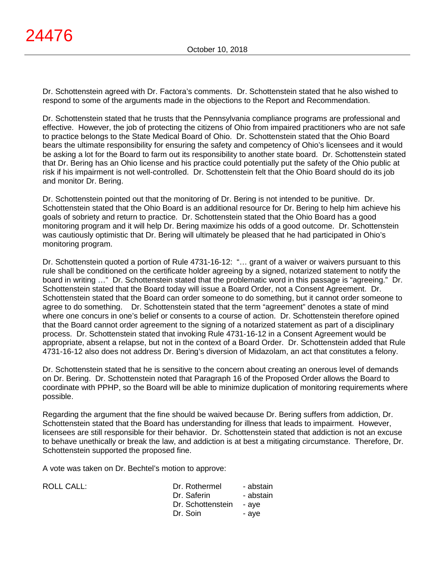Dr. Schottenstein agreed with Dr. Factora's comments. Dr. Schottenstein stated that he also wished to respond to some of the arguments made in the objections to the Report and Recommendation.

Dr. Schottenstein stated that he trusts that the Pennsylvania compliance programs are professional and effective. However, the job of protecting the citizens of Ohio from impaired practitioners who are not safe to practice belongs to the State Medical Board of Ohio. Dr. Schottenstein stated that the Ohio Board bears the ultimate responsibility for ensuring the safety and competency of Ohio's licensees and it would be asking a lot for the Board to farm out its responsibility to another state board. Dr. Schottenstein stated that Dr. Bering has an Ohio license and his practice could potentially put the safety of the Ohio public at risk if his impairment is not well-controlled. Dr. Schottenstein felt that the Ohio Board should do its job and monitor Dr. Bering.

Dr. Schottenstein pointed out that the monitoring of Dr. Bering is not intended to be punitive. Dr. Schottenstein stated that the Ohio Board is an additional resource for Dr. Bering to help him achieve his goals of sobriety and return to practice. Dr. Schottenstein stated that the Ohio Board has a good monitoring program and it will help Dr. Bering maximize his odds of a good outcome. Dr. Schottenstein was cautiously optimistic that Dr. Bering will ultimately be pleased that he had participated in Ohio's monitoring program.

Dr. Schottenstein quoted a portion of Rule 4731-16-12: "… grant of a waiver or waivers pursuant to this rule shall be conditioned on the certificate holder agreeing by a signed, notarized statement to notify the board in writing …" Dr. Schottenstein stated that the problematic word in this passage is "agreeing." Dr. Schottenstein stated that the Board today will issue a Board Order, not a Consent Agreement. Dr. Schottenstein stated that the Board can order someone to do something, but it cannot order someone to agree to do something. Dr. Schottenstein stated that the term "agreement" denotes a state of mind where one concurs in one's belief or consents to a course of action. Dr. Schottenstein therefore opined that the Board cannot order agreement to the signing of a notarized statement as part of a disciplinary process. Dr. Schottenstein stated that invoking Rule 4731-16-12 in a Consent Agreement would be appropriate, absent a relapse, but not in the context of a Board Order. Dr. Schottenstein added that Rule 4731-16-12 also does not address Dr. Bering's diversion of Midazolam, an act that constitutes a felony.

Dr. Schottenstein stated that he is sensitive to the concern about creating an onerous level of demands on Dr. Bering. Dr. Schottenstein noted that Paragraph 16 of the Proposed Order allows the Board to coordinate with PPHP, so the Board will be able to minimize duplication of monitoring requirements where possible.

Regarding the argument that the fine should be waived because Dr. Bering suffers from addiction, Dr. Schottenstein stated that the Board has understanding for illness that leads to impairment. However, licensees are still responsible for their behavior. Dr. Schottenstein stated that addiction is not an excuse to behave unethically or break the law, and addiction is at best a mitigating circumstance. Therefore, Dr. Schottenstein supported the proposed fine.

A vote was taken on Dr. Bechtel's motion to approve:

| ROLL CALL: | Dr. Rothermel           | - abstain |
|------------|-------------------------|-----------|
|            | Dr. Saferin             | - abstain |
|            | Dr. Schottenstein - aye |           |
|            | Dr. Soin                | - ave     |
|            |                         |           |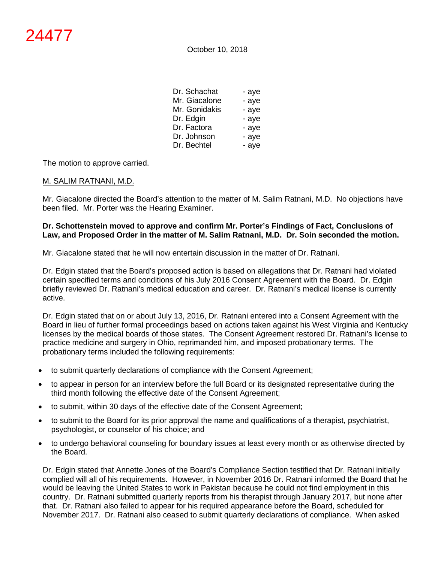| Dr. Schachat  | - aye |
|---------------|-------|
| Mr. Giacalone | - aye |
| Mr. Gonidakis | - aye |
| Dr. Edgin     | - aye |
| Dr. Factora   | - aye |
| Dr. Johnson   | - aye |
| Dr. Bechtel   | - aye |

The motion to approve carried.

#### M. SALIM RATNANI, M.D.

Mr. Giacalone directed the Board's attention to the matter of M. Salim Ratnani, M.D. No objections have been filed. Mr. Porter was the Hearing Examiner.

#### **Dr. Schottenstein moved to approve and confirm Mr. Porter's Findings of Fact, Conclusions of Law, and Proposed Order in the matter of M. Salim Ratnani, M.D. Dr. Soin seconded the motion.**

Mr. Giacalone stated that he will now entertain discussion in the matter of Dr. Ratnani.

Dr. Edgin stated that the Board's proposed action is based on allegations that Dr. Ratnani had violated certain specified terms and conditions of his July 2016 Consent Agreement with the Board. Dr. Edgin briefly reviewed Dr. Ratnani's medical education and career. Dr. Ratnani's medical license is currently active.

Dr. Edgin stated that on or about July 13, 2016, Dr. Ratnani entered into a Consent Agreement with the Board in lieu of further formal proceedings based on actions taken against his West Virginia and Kentucky licenses by the medical boards of those states. The Consent Agreement restored Dr. Ratnani's license to practice medicine and surgery in Ohio, reprimanded him, and imposed probationary terms. The probationary terms included the following requirements:

- to submit quarterly declarations of compliance with the Consent Agreement;
- to appear in person for an interview before the full Board or its designated representative during the third month following the effective date of the Consent Agreement;
- to submit, within 30 days of the effective date of the Consent Agreement;
- to submit to the Board for its prior approval the name and qualifications of a therapist, psychiatrist, psychologist, or counselor of his choice; and
- to undergo behavioral counseling for boundary issues at least every month or as otherwise directed by the Board.

Dr. Edgin stated that Annette Jones of the Board's Compliance Section testified that Dr. Ratnani initially complied will all of his requirements. However, in November 2016 Dr. Ratnani informed the Board that he would be leaving the United States to work in Pakistan because he could not find employment in this country. Dr. Ratnani submitted quarterly reports from his therapist through January 2017, but none after that. Dr. Ratnani also failed to appear for his required appearance before the Board, scheduled for November 2017. Dr. Ratnani also ceased to submit quarterly declarations of compliance. When asked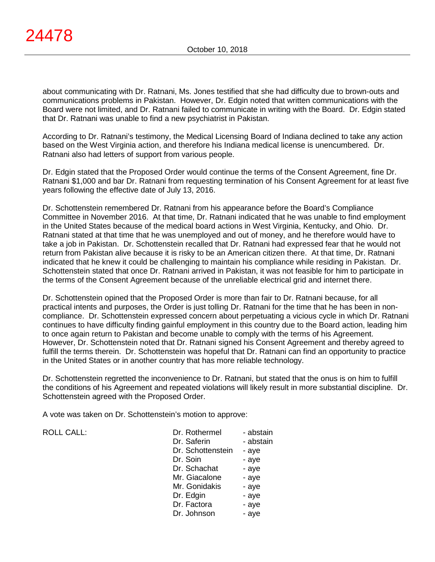about communicating with Dr. Ratnani, Ms. Jones testified that she had difficulty due to brown-outs and communications problems in Pakistan. However, Dr. Edgin noted that written communications with the Board were not limited, and Dr. Ratnani failed to communicate in writing with the Board. Dr. Edgin stated that Dr. Ratnani was unable to find a new psychiatrist in Pakistan.

According to Dr. Ratnani's testimony, the Medical Licensing Board of Indiana declined to take any action based on the West Virginia action, and therefore his Indiana medical license is unencumbered. Dr. Ratnani also had letters of support from various people.

Dr. Edgin stated that the Proposed Order would continue the terms of the Consent Agreement, fine Dr. Ratnani \$1,000 and bar Dr. Ratnani from requesting termination of his Consent Agreement for at least five years following the effective date of July 13, 2016.

Dr. Schottenstein remembered Dr. Ratnani from his appearance before the Board's Compliance Committee in November 2016. At that time, Dr. Ratnani indicated that he was unable to find employment in the United States because of the medical board actions in West Virginia, Kentucky, and Ohio. Dr. Ratnani stated at that time that he was unemployed and out of money, and he therefore would have to take a job in Pakistan. Dr. Schottenstein recalled that Dr. Ratnani had expressed fear that he would not return from Pakistan alive because it is risky to be an American citizen there. At that time, Dr. Ratnani indicated that he knew it could be challenging to maintain his compliance while residing in Pakistan. Dr. Schottenstein stated that once Dr. Ratnani arrived in Pakistan, it was not feasible for him to participate in the terms of the Consent Agreement because of the unreliable electrical grid and internet there.

Dr. Schottenstein opined that the Proposed Order is more than fair to Dr. Ratnani because, for all practical intents and purposes, the Order is just tolling Dr. Ratnani for the time that he has been in noncompliance. Dr. Schottenstein expressed concern about perpetuating a vicious cycle in which Dr. Ratnani continues to have difficulty finding gainful employment in this country due to the Board action, leading him to once again return to Pakistan and become unable to comply with the terms of his Agreement. However, Dr. Schottenstein noted that Dr. Ratnani signed his Consent Agreement and thereby agreed to fulfill the terms therein. Dr. Schottenstein was hopeful that Dr. Ratnani can find an opportunity to practice in the United States or in another country that has more reliable technology.

Dr. Schottenstein regretted the inconvenience to Dr. Ratnani, but stated that the onus is on him to fulfill the conditions of his Agreement and repeated violations will likely result in more substantial discipline. Dr. Schottenstein agreed with the Proposed Order.

A vote was taken on Dr. Schottenstein's motion to approve:

ROLL CALL:

| Dr. Rothermel     | - abstain |
|-------------------|-----------|
| Dr. Saferin       | - abstain |
| Dr. Schottenstein | - aye     |
| Dr. Soin          | - aye     |
| Dr. Schachat      | - aye     |
| Mr. Giacalone     | - aye     |
| Mr. Gonidakis     | - aye     |
| Dr. Edgin         | - aye     |
| Dr. Factora       | - aye     |
| Dr. Johnson       | - aye     |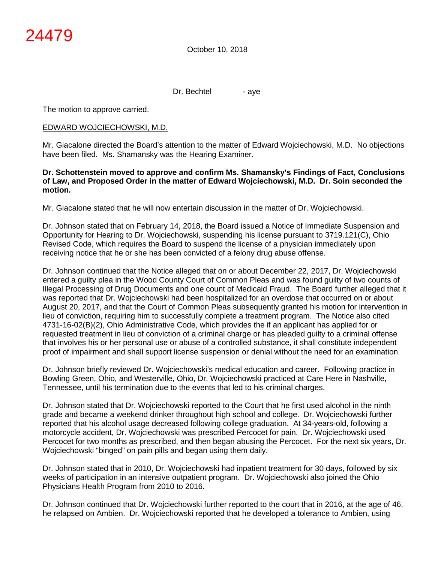Dr. Bechtel - aye

The motion to approve carried.

#### EDWARD WOJCIECHOWSKI, M.D.

Mr. Giacalone directed the Board's attention to the matter of Edward Wojciechowski, M.D. No objections have been filed. Ms. Shamansky was the Hearing Examiner.

#### **Dr. Schottenstein moved to approve and confirm Ms. Shamansky's Findings of Fact, Conclusions of Law, and Proposed Order in the matter of Edward Wojciechowski, M.D. Dr. Soin seconded the motion.**

Mr. Giacalone stated that he will now entertain discussion in the matter of Dr. Wojciechowski.

Dr. Johnson stated that on February 14, 2018, the Board issued a Notice of Immediate Suspension and Opportunity for Hearing to Dr. Wojciechowski, suspending his license pursuant to 3719.121(C), Ohio Revised Code, which requires the Board to suspend the license of a physician immediately upon receiving notice that he or she has been convicted of a felony drug abuse offense.

Dr. Johnson continued that the Notice alleged that on or about December 22, 2017, Dr. Wojciechowski entered a guilty plea in the Wood County Court of Common Pleas and was found guilty of two counts of Illegal Processing of Drug Documents and one count of Medicaid Fraud. The Board further alleged that it was reported that Dr. Wojciechowski had been hospitalized for an overdose that occurred on or about August 20, 2017, and that the Court of Common Pleas subsequently granted his motion for intervention in lieu of conviction, requiring him to successfully complete a treatment program. The Notice also cited 4731-16-02(B)(2), Ohio Administrative Code, which provides the if an applicant has applied for or requested treatment in lieu of conviction of a criminal charge or has pleaded guilty to a criminal offense that involves his or her personal use or abuse of a controlled substance, it shall constitute independent proof of impairment and shall support license suspension or denial without the need for an examination.

Dr. Johnson briefly reviewed Dr. Wojciechowski's medical education and career. Following practice in Bowling Green, Ohio, and Westerville, Ohio, Dr. Wojciechowski practiced at Care Here in Nashville, Tennessee, until his termination due to the events that led to his criminal charges.

Dr. Johnson stated that Dr. Wojciechowski reported to the Court that he first used alcohol in the ninth grade and became a weekend drinker throughout high school and college. Dr. Wojciechowski further reported that his alcohol usage decreased following college graduation. At 34-years-old, following a motorcycle accident, Dr. Wojciechowski was prescribed Percocet for pain. Dr. Wojciechowski used Percocet for two months as prescribed, and then began abusing the Percocet. For the next six years, Dr. Wojciechowski "binged" on pain pills and began using them daily.

Dr. Johnson stated that in 2010, Dr. Wojciechowski had inpatient treatment for 30 days, followed by six weeks of participation in an intensive outpatient program. Dr. Wojciechowski also joined the Ohio Physicians Health Program from 2010 to 2016.

Dr. Johnson continued that Dr. Wojciechowski further reported to the court that in 2016, at the age of 46, he relapsed on Ambien. Dr. Wojciechowski reported that he developed a tolerance to Ambien, using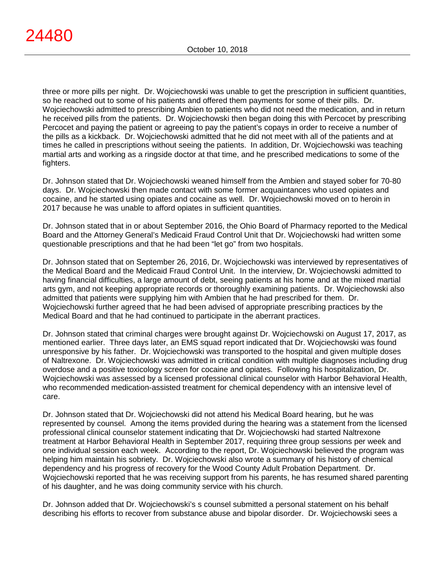three or more pills per night. Dr. Wojciechowski was unable to get the prescription in sufficient quantities, so he reached out to some of his patients and offered them payments for some of their pills. Dr. Wojciechowski admitted to prescribing Ambien to patients who did not need the medication, and in return he received pills from the patients. Dr. Wojciechowski then began doing this with Percocet by prescribing Percocet and paying the patient or agreeing to pay the patient's copays in order to receive a number of the pills as a kickback. Dr. Wojciechowski admitted that he did not meet with all of the patients and at times he called in prescriptions without seeing the patients. In addition, Dr. Wojciechowski was teaching martial arts and working as a ringside doctor at that time, and he prescribed medications to some of the fighters.

Dr. Johnson stated that Dr. Wojciechowski weaned himself from the Ambien and stayed sober for 70-80 days. Dr. Wojciechowski then made contact with some former acquaintances who used opiates and cocaine, and he started using opiates and cocaine as well. Dr. Wojciechowski moved on to heroin in 2017 because he was unable to afford opiates in sufficient quantities.

Dr. Johnson stated that in or about September 2016, the Ohio Board of Pharmacy reported to the Medical Board and the Attorney General's Medicaid Fraud Control Unit that Dr. Wojciechowski had written some questionable prescriptions and that he had been "let go" from two hospitals.

Dr. Johnson stated that on September 26, 2016, Dr. Wojciechowski was interviewed by representatives of the Medical Board and the Medicaid Fraud Control Unit. In the interview, Dr. Wojciechowski admitted to having financial difficulties, a large amount of debt, seeing patients at his home and at the mixed martial arts gym, and not keeping appropriate records or thoroughly examining patients. Dr. Wojciechowski also admitted that patients were supplying him with Ambien that he had prescribed for them. Dr. Wojciechowski further agreed that he had been advised of appropriate prescribing practices by the Medical Board and that he had continued to participate in the aberrant practices.

Dr. Johnson stated that criminal charges were brought against Dr. Wojciechowski on August 17, 2017, as mentioned earlier. Three days later, an EMS squad report indicated that Dr. Wojciechowski was found unresponsive by his father. Dr. Wojciechowski was transported to the hospital and given multiple doses of Naltrexone. Dr. Wojciechowski was admitted in critical condition with multiple diagnoses including drug overdose and a positive toxicology screen for cocaine and opiates. Following his hospitalization, Dr. Wojciechowski was assessed by a licensed professional clinical counselor with Harbor Behavioral Health, who recommended medication-assisted treatment for chemical dependency with an intensive level of care.

Dr. Johnson stated that Dr. Wojciechowski did not attend his Medical Board hearing, but he was represented by counsel. Among the items provided during the hearing was a statement from the licensed professional clinical counselor statement indicating that Dr. Wojciechowski had started Naltrexone treatment at Harbor Behavioral Health in September 2017, requiring three group sessions per week and one individual session each week. According to the report, Dr. Wojciechowski believed the program was helping him maintain his sobriety. Dr. Wojciechowski also wrote a summary of his history of chemical dependency and his progress of recovery for the Wood County Adult Probation Department. Dr. Wojciechowski reported that he was receiving support from his parents, he has resumed shared parenting of his daughter, and he was doing community service with his church.

Dr. Johnson added that Dr. Wojciechowski's s counsel submitted a personal statement on his behalf describing his efforts to recover from substance abuse and bipolar disorder. Dr. Wojciechowski sees a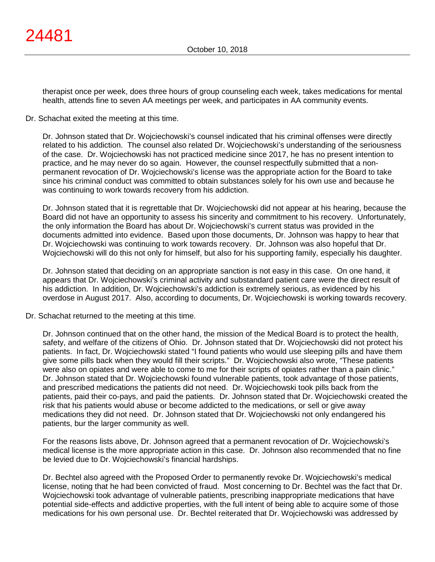therapist once per week, does three hours of group counseling each week, takes medications for mental health, attends fine to seven AA meetings per week, and participates in AA community events.

### Dr. Schachat exited the meeting at this time.

Dr. Johnson stated that Dr. Wojciechowski's counsel indicated that his criminal offenses were directly related to his addiction. The counsel also related Dr. Wojciechowski's understanding of the seriousness of the case. Dr. Wojciechowski has not practiced medicine since 2017, he has no present intention to practice, and he may never do so again. However, the counsel respectfully submitted that a nonpermanent revocation of Dr. Wojciechowski's license was the appropriate action for the Board to take since his criminal conduct was committed to obtain substances solely for his own use and because he was continuing to work towards recovery from his addiction.

Dr. Johnson stated that it is regrettable that Dr. Wojciechowski did not appear at his hearing, because the Board did not have an opportunity to assess his sincerity and commitment to his recovery. Unfortunately, the only information the Board has about Dr. Wojciechowski's current status was provided in the documents admitted into evidence. Based upon those documents, Dr. Johnson was happy to hear that Dr. Wojciechowski was continuing to work towards recovery. Dr. Johnson was also hopeful that Dr. Wojciechowski will do this not only for himself, but also for his supporting family, especially his daughter.

Dr. Johnson stated that deciding on an appropriate sanction is not easy in this case. On one hand, it appears that Dr. Wojciechowski's criminal activity and substandard patient care were the direct result of his addiction. In addition, Dr. Wojciechowski's addiction is extremely serious, as evidenced by his overdose in August 2017. Also, according to documents, Dr. Wojciechowski is working towards recovery.

Dr. Schachat returned to the meeting at this time.

Dr. Johnson continued that on the other hand, the mission of the Medical Board is to protect the health, safety, and welfare of the citizens of Ohio. Dr. Johnson stated that Dr. Wojciechowski did not protect his patients. In fact, Dr. Wojciechowski stated "I found patients who would use sleeping pills and have them give some pills back when they would fill their scripts." Dr. Wojciechowski also wrote, "These patients were also on opiates and were able to come to me for their scripts of opiates rather than a pain clinic." Dr. Johnson stated that Dr. Wojciechowski found vulnerable patients, took advantage of those patients, and prescribed medications the patients did not need. Dr. Wojciechowski took pills back from the patients, paid their co-pays, and paid the patients. Dr. Johnson stated that Dr. Wojciechowski created the risk that his patients would abuse or become addicted to the medications, or sell or give away medications they did not need. Dr. Johnson stated that Dr. Wojciechowski not only endangered his patients, bur the larger community as well.

For the reasons lists above, Dr. Johnson agreed that a permanent revocation of Dr. Wojciechowski's medical license is the more appropriate action in this case. Dr. Johnson also recommended that no fine be levied due to Dr. Wojciechowski's financial hardships.

Dr. Bechtel also agreed with the Proposed Order to permanently revoke Dr. Wojciechowski's medical license, noting that he had been convicted of fraud. Most concerning to Dr. Bechtel was the fact that Dr. Wojciechowski took advantage of vulnerable patients, prescribing inappropriate medications that have potential side-effects and addictive properties, with the full intent of being able to acquire some of those medications for his own personal use. Dr. Bechtel reiterated that Dr. Wojciechowski was addressed by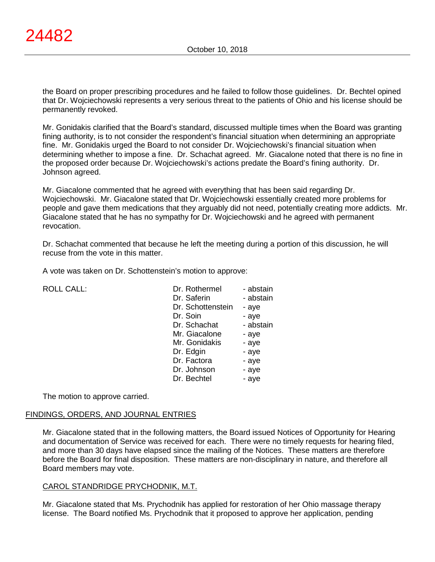the Board on proper prescribing procedures and he failed to follow those guidelines. Dr. Bechtel opined that Dr. Wojciechowski represents a very serious threat to the patients of Ohio and his license should be permanently revoked.

Mr. Gonidakis clarified that the Board's standard, discussed multiple times when the Board was granting fining authority, is to not consider the respondent's financial situation when determining an appropriate fine. Mr. Gonidakis urged the Board to not consider Dr. Wojciechowski's financial situation when determining whether to impose a fine. Dr. Schachat agreed. Mr. Giacalone noted that there is no fine in the proposed order because Dr. Wojciechowski's actions predate the Board's fining authority. Dr. Johnson agreed.

Mr. Giacalone commented that he agreed with everything that has been said regarding Dr. Wojciechowski. Mr. Giacalone stated that Dr. Wojciechowski essentially created more problems for people and gave them medications that they arguably did not need, potentially creating more addicts. Mr. Giacalone stated that he has no sympathy for Dr. Wojciechowski and he agreed with permanent revocation.

Dr. Schachat commented that because he left the meeting during a portion of this discussion, he will recuse from the vote in this matter.

A vote was taken on Dr. Schottenstein's motion to approve:

| <b>ROLL CALL:</b> | Dr. Rothermel     | - abstain |
|-------------------|-------------------|-----------|
|                   | Dr. Saferin       | - abstain |
|                   | Dr. Schottenstein | - aye     |
|                   | Dr. Soin          | - aye     |
|                   | Dr. Schachat      | - abstain |
|                   | Mr. Giacalone     | - aye     |
|                   | Mr. Gonidakis     | - aye     |
|                   | Dr. Edgin         | - aye     |
|                   | Dr. Factora       | - aye     |
|                   | Dr. Johnson       | - aye     |
|                   | Dr. Bechtel       | - aye     |

The motion to approve carried.

#### FINDINGS, ORDERS, AND JOURNAL ENTRIES

Mr. Giacalone stated that in the following matters, the Board issued Notices of Opportunity for Hearing and documentation of Service was received for each. There were no timely requests for hearing filed, and more than 30 days have elapsed since the mailing of the Notices. These matters are therefore before the Board for final disposition. These matters are non-disciplinary in nature, and therefore all Board members may vote.

#### CAROL STANDRIDGE PRYCHODNIK, M.T.

Mr. Giacalone stated that Ms. Prychodnik has applied for restoration of her Ohio massage therapy license. The Board notified Ms. Prychodnik that it proposed to approve her application, pending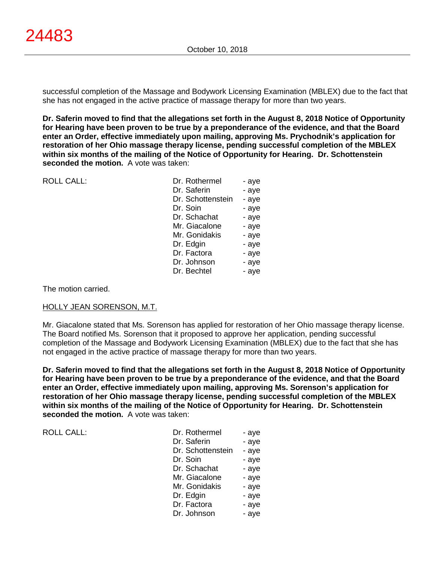successful completion of the Massage and Bodywork Licensing Examination (MBLEX) due to the fact that she has not engaged in the active practice of massage therapy for more than two years.

**Dr. Saferin moved to find that the allegations set forth in the August 8, 2018 Notice of Opportunity for Hearing have been proven to be true by a preponderance of the evidence, and that the Board enter an Order, effective immediately upon mailing, approving Ms. Prychodnik's application for restoration of her Ohio massage therapy license, pending successful completion of the MBLEX within six months of the mailing of the Notice of Opportunity for Hearing. Dr. Schottenstein seconded the motion.** A vote was taken:

| <b>ROLL CALL:</b> | Dr. Rothermel     | - aye |
|-------------------|-------------------|-------|
|                   | Dr. Saferin       | - aye |
|                   | Dr. Schottenstein | - aye |
|                   | Dr. Soin          | - aye |
|                   | Dr. Schachat      | - aye |
|                   | Mr. Giacalone     | - aye |
|                   | Mr. Gonidakis     | - aye |
|                   | Dr. Edgin         | - aye |
|                   | Dr. Factora       | - aye |
|                   | Dr. Johnson       | - aye |
|                   | Dr. Bechtel       | - aye |
|                   |                   |       |
|                   |                   |       |

The motion carried.

#### HOLLY JEAN SORENSON, M.T.

Mr. Giacalone stated that Ms. Sorenson has applied for restoration of her Ohio massage therapy license. The Board notified Ms. Sorenson that it proposed to approve her application, pending successful completion of the Massage and Bodywork Licensing Examination (MBLEX) due to the fact that she has not engaged in the active practice of massage therapy for more than two years.

**Dr. Saferin moved to find that the allegations set forth in the August 8, 2018 Notice of Opportunity for Hearing have been proven to be true by a preponderance of the evidence, and that the Board enter an Order, effective immediately upon mailing, approving Ms. Sorenson's application for restoration of her Ohio massage therapy license, pending successful completion of the MBLEX within six months of the mailing of the Notice of Opportunity for Hearing. Dr. Schottenstein seconded the motion.** A vote was taken:

ROLL CALL:

| Dr. Rothermel     | - aye |
|-------------------|-------|
| Dr. Saferin       | - aye |
| Dr. Schottenstein | - aye |
| Dr. Soin          | - aye |
| Dr. Schachat      | - aye |
| Mr. Giacalone     | - aye |
| Mr. Gonidakis     | - aye |
| Dr. Edgin         | - aye |
| Dr. Factora       | - aye |
| Dr. Johnson       | - aye |
|                   |       |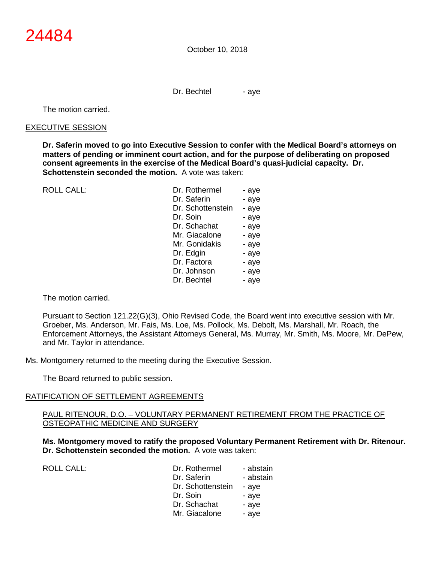Dr. Bechtel - aye

The motion carried.

#### EXECUTIVE SESSION

**Dr. Saferin moved to go into Executive Session to confer with the Medical Board's attorneys on matters of pending or imminent court action, and for the purpose of deliberating on proposed consent agreements in the exercise of the Medical Board's quasi-judicial capacity. Dr. Schottenstein seconded the motion.** A vote was taken:

 $ROILCAIL$ :

| Dr. Rothermel     | - aye |
|-------------------|-------|
| Dr. Saferin       | - aye |
| Dr. Schottenstein | - aye |
| Dr. Soin          | - aye |
| Dr. Schachat      | - aye |
| Mr. Giacalone     | - aye |
| Mr. Gonidakis     | - aye |
| Dr. Edgin         | - aye |
| Dr. Factora       | - aye |
| Dr. Johnson       | - aye |
| Dr. Bechtel       | - aye |
|                   |       |

The motion carried.

Pursuant to Section 121.22(G)(3), Ohio Revised Code, the Board went into executive session with Mr. Groeber, Ms. Anderson, Mr. Fais, Ms. Loe, Ms. Pollock, Ms. Debolt, Ms. Marshall, Mr. Roach, the Enforcement Attorneys, the Assistant Attorneys General, Ms. Murray, Mr. Smith, Ms. Moore, Mr. DePew, and Mr. Taylor in attendance.

Ms. Montgomery returned to the meeting during the Executive Session.

The Board returned to public session.

#### RATIFICATION OF SETTLEMENT AGREEMENTS

#### PAUL RITENOUR, D.O. – VOLUNTARY PERMANENT RETIREMENT FROM THE PRACTICE OF OSTEOPATHIC MEDICINE AND SURGERY

**Ms. Montgomery moved to ratify the proposed Voluntary Permanent Retirement with Dr. Ritenour. Dr. Schottenstein seconded the motion.** A vote was taken:

| Dr. Rothermel<br>Dr. Saferin<br>Dr. Schottenstein | - abstain<br>- abstain<br>- ave |
|---------------------------------------------------|---------------------------------|
| Dr. Soin                                          | - ave                           |
| Dr. Schachat                                      | - ave                           |
| Mr. Giacalone                                     | - ave                           |
|                                                   |                                 |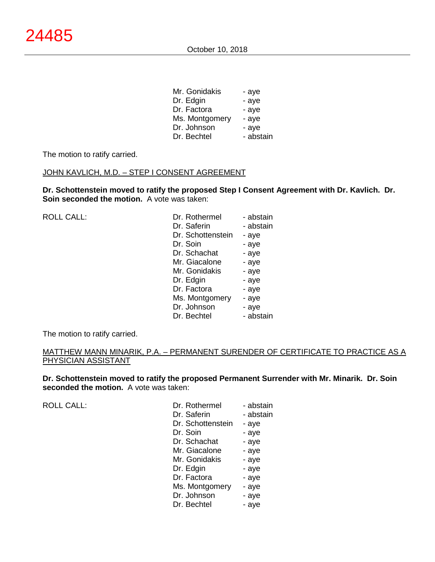| Mr. Gonidakis  | - aye     |
|----------------|-----------|
| Dr. Edgin      | - aye     |
| Dr. Factora    | - aye     |
| Ms. Montgomery | - aye     |
| Dr. Johnson    | - aye     |
| Dr. Bechtel    | - abstain |
|                |           |

The motion to ratify carried.

### JOHN KAVLICH, M.D. - STEP I CONSENT AGREEMENT

**Dr. Schottenstein moved to ratify the proposed Step I Consent Agreement with Dr. Kavlich. Dr. Soin seconded the motion.** A vote was taken:

ROLL CALL:

| Dr. Rothermel     | - abstain |
|-------------------|-----------|
| Dr. Saferin       | - abstain |
| Dr. Schottenstein | - aye     |
| Dr. Soin          | - aye     |
| Dr. Schachat      | - aye     |
| Mr. Giacalone     | - aye     |
| Mr. Gonidakis     | - aye     |
| Dr. Edgin         | - aye     |
| Dr. Factora       | - aye     |
| Ms. Montgomery    | - aye     |
| Dr. Johnson       | - aye     |
| Dr. Bechtel       | - abstain |
|                   |           |

The motion to ratify carried.

#### MATTHEW MANN MINARIK, P.A. – PERMANENT SURENDER OF CERTIFICATE TO PRACTICE AS A PHYSICIAN ASSISTANT

**Dr. Schottenstein moved to ratify the proposed Permanent Surrender with Mr. Minarik. Dr. Soin seconded the motion.** A vote was taken:

ROLL CALL:

| - abstain |
|-----------|
| - abstain |
| - aye     |
| - aye     |
| - aye     |
| - aye     |
| - aye     |
| - aye     |
| - aye     |
| - aye     |
| - aye     |
| - aye     |
|           |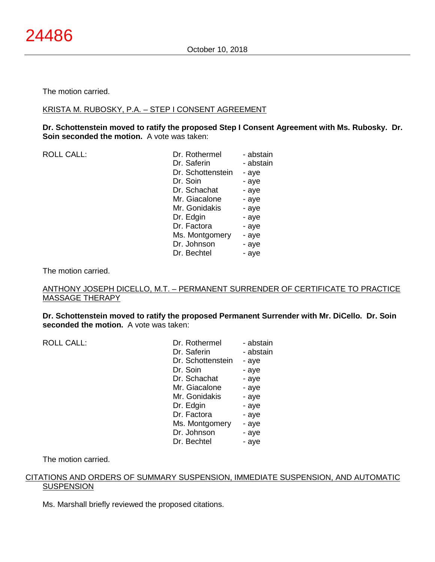#### The motion carried.

#### KRISTA M. RUBOSKY, P.A. – STEP I CONSENT AGREEMENT

**Dr. Schottenstein moved to ratify the proposed Step I Consent Agreement with Ms. Rubosky. Dr. Soin seconded the motion.** A vote was taken:

| <b>ROLL CALL:</b> | Dr. Rothermel     | - abstain |
|-------------------|-------------------|-----------|
|                   | Dr. Saferin       | - abstain |
|                   | Dr. Schottenstein | - aye     |
|                   | Dr. Soin          | - aye     |
|                   | Dr. Schachat      | - aye     |
|                   | Mr. Giacalone     | - aye     |
|                   | Mr. Gonidakis     | - aye     |
|                   | Dr. Edgin         | - aye     |
|                   | Dr. Factora       | - aye     |
|                   | Ms. Montgomery    | - aye     |
|                   | Dr. Johnson       | - aye     |
|                   | Dr. Bechtel       | - aye     |
|                   |                   |           |

The motion carried.

#### ANTHONY JOSEPH DICELLO, M.T. – PERMANENT SURRENDER OF CERTIFICATE TO PRACTICE MASSAGE THERAPY

**Dr. Schottenstein moved to ratify the proposed Permanent Surrender with Mr. DiCello. Dr. Soin seconded the motion.** A vote was taken:

ROLL CALL:

| Dr. Rothermel     | - abstain |
|-------------------|-----------|
| Dr. Saferin       | - abstain |
| Dr. Schottenstein | - aye     |
| Dr. Soin          | - aye     |
| Dr. Schachat      | - aye     |
| Mr. Giacalone     | - aye     |
| Mr. Gonidakis     | - aye     |
| Dr. Edgin         | - aye     |
| Dr. Factora       | - aye     |
| Ms. Montgomery    | - aye     |
| Dr. Johnson       | - aye     |
| Dr. Bechtel       | - aye     |

The motion carried.

#### CITATIONS AND ORDERS OF SUMMARY SUSPENSION, IMMEDIATE SUSPENSION, AND AUTOMATIC **SUSPENSION**

Ms. Marshall briefly reviewed the proposed citations.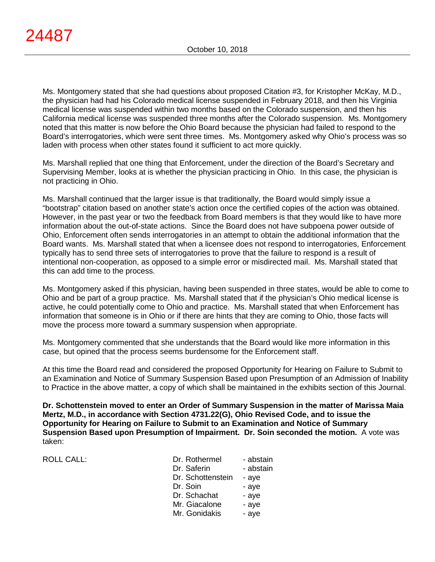Ms. Montgomery stated that she had questions about proposed Citation #3, for Kristopher McKay, M.D., the physician had had his Colorado medical license suspended in February 2018, and then his Virginia medical license was suspended within two months based on the Colorado suspension, and then his California medical license was suspended three months after the Colorado suspension. Ms. Montgomery noted that this matter is now before the Ohio Board because the physician had failed to respond to the Board's interrogatories, which were sent three times. Ms. Montgomery asked why Ohio's process was so laden with process when other states found it sufficient to act more quickly.

Ms. Marshall replied that one thing that Enforcement, under the direction of the Board's Secretary and Supervising Member, looks at is whether the physician practicing in Ohio. In this case, the physician is not practicing in Ohio.

Ms. Marshall continued that the larger issue is that traditionally, the Board would simply issue a "bootstrap" citation based on another state's action once the certified copies of the action was obtained. However, in the past year or two the feedback from Board members is that they would like to have more information about the out-of-state actions. Since the Board does not have subpoena power outside of Ohio, Enforcement often sends interrogatories in an attempt to obtain the additional information that the Board wants. Ms. Marshall stated that when a licensee does not respond to interrogatories, Enforcement typically has to send three sets of interrogatories to prove that the failure to respond is a result of intentional non-cooperation, as opposed to a simple error or misdirected mail. Ms. Marshall stated that this can add time to the process.

Ms. Montgomery asked if this physician, having been suspended in three states, would be able to come to Ohio and be part of a group practice. Ms. Marshall stated that if the physician's Ohio medical license is active, he could potentially come to Ohio and practice. Ms. Marshall stated that when Enforcement has information that someone is in Ohio or if there are hints that they are coming to Ohio, those facts will move the process more toward a summary suspension when appropriate.

Ms. Montgomery commented that she understands that the Board would like more information in this case, but opined that the process seems burdensome for the Enforcement staff.

At this time the Board read and considered the proposed Opportunity for Hearing on Failure to Submit to an Examination and Notice of Summary Suspension Based upon Presumption of an Admission of Inability to Practice in the above matter, a copy of which shall be maintained in the exhibits section of this Journal.

**Dr. Schottenstein moved to enter an Order of Summary Suspension in the matter of Marissa Maia Mertz, M.D., in accordance with Section 4731.22(G), Ohio Revised Code, and to issue the Opportunity for Hearing on Failure to Submit to an Examination and Notice of Summary Suspension Based upon Presumption of Impairment. Dr. Soin seconded the motion.** A vote was taken:

ROLL CALL: Dr. ROLL CALL: Dr. Roll - abstract - abstract - abstract - abstract - abstract - abstract - abstract<br>D

| Dr. Rothermel     | - abstain |
|-------------------|-----------|
| Dr. Saferin       | - abstain |
| Dr. Schottenstein | - aye     |
| Dr. Soin          | - aye     |
| Dr. Schachat      | - aye     |
| Mr. Giacalone     | - aye     |
| Mr. Gonidakis     | - aye     |
|                   |           |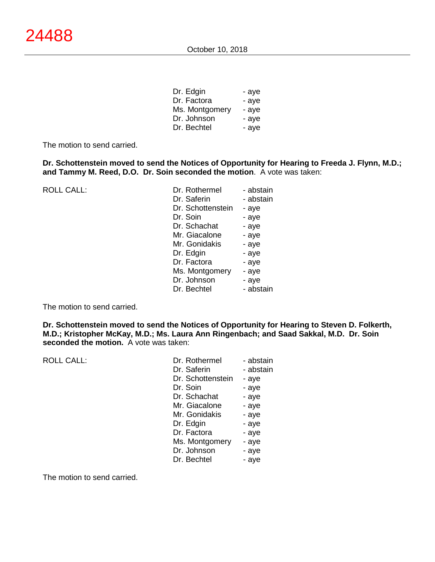| Dr. Edgin      | - aye |
|----------------|-------|
| Dr. Factora    | - aye |
| Ms. Montgomery | - aye |
| Dr. Johnson    | - aye |
| Dr. Bechtel    | - aye |

The motion to send carried.

**Dr. Schottenstein moved to send the Notices of Opportunity for Hearing to Freeda J. Flynn, M.D.; and Tammy M. Reed, D.O. Dr. Soin seconded the motion**. A vote was taken:

ROLL CALL: Dr. Rothermel

| - abstain |
|-----------|
| - abstain |
| - aye     |
| - aye     |
| - aye     |
| - aye     |
| - aye     |
| - aye     |
| - aye     |
| - aye     |
| - aye     |
| - abstain |
|           |

The motion to send carried.

**Dr. Schottenstein moved to send the Notices of Opportunity for Hearing to Steven D. Folkerth, M.D.; Kristopher McKay, M.D.; Ms. Laura Ann Ringenbach; and Saad Sakkal, M.D. Dr. Soin seconded the motion.** A vote was taken:

| <b>ROLL CALL:</b> | Dr. Rothermel     | - abstain |
|-------------------|-------------------|-----------|
|                   | Dr. Saferin       | - abstain |
|                   | Dr. Schottenstein | - aye     |
|                   | Dr. Soin          | - aye     |
|                   | Dr. Schachat      | - aye     |
|                   | Mr. Giacalone     | - aye     |
|                   | Mr. Gonidakis     | - aye     |
|                   | Dr. Edgin         | - aye     |
|                   | Dr. Factora       | - aye     |
|                   | Ms. Montgomery    | - aye     |
|                   | Dr. Johnson       | - aye     |
|                   | Dr. Bechtel       | - aye     |

The motion to send carried.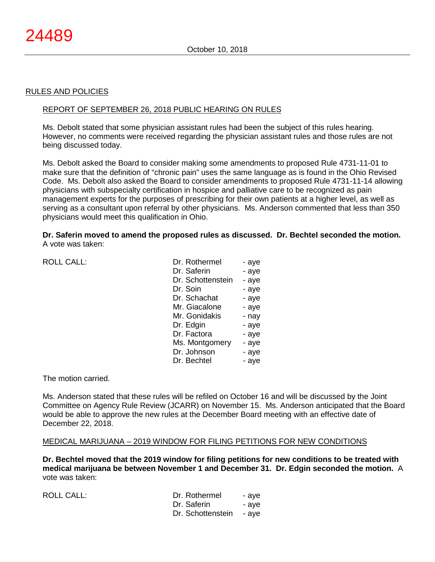#### RULES AND POLICIES

#### REPORT OF SEPTEMBER 26, 2018 PUBLIC HEARING ON RULES

Ms. Debolt stated that some physician assistant rules had been the subject of this rules hearing. However, no comments were received regarding the physician assistant rules and those rules are not being discussed today.

Ms. Debolt asked the Board to consider making some amendments to proposed Rule 4731-11-01 to make sure that the definition of "chronic pain" uses the same language as is found in the Ohio Revised Code. Ms. Debolt also asked the Board to consider amendments to proposed Rule 4731-11-14 allowing physicians with subspecialty certification in hospice and palliative care to be recognized as pain management experts for the purposes of prescribing for their own patients at a higher level, as well as serving as a consultant upon referral by other physicians. Ms. Anderson commented that less than 350 physicians would meet this qualification in Ohio.

#### **Dr. Saferin moved to amend the proposed rules as discussed. Dr. Bechtel seconded the motion.** A vote was taken:

| <b>ROLL CALL:</b> |  |
|-------------------|--|
|                   |  |

| <b>ROLL CALL:</b> | Dr. Rothermel     | - aye |
|-------------------|-------------------|-------|
|                   | Dr. Saferin       | - aye |
|                   | Dr. Schottenstein | - aye |
|                   | Dr. Soin          | - aye |
|                   | Dr. Schachat      | - aye |
|                   | Mr. Giacalone     | - aye |
|                   | Mr. Gonidakis     | - nay |
|                   | Dr. Edgin         | - aye |
|                   | Dr. Factora       | - aye |
|                   | Ms. Montgomery    | - aye |
|                   | Dr. Johnson       | - aye |
|                   | Dr. Bechtel       | - aye |
|                   |                   |       |

The motion carried.

Ms. Anderson stated that these rules will be refiled on October 16 and will be discussed by the Joint Committee on Agency Rule Review (JCARR) on November 15. Ms. Anderson anticipated that the Board would be able to approve the new rules at the December Board meeting with an effective date of December 22, 2018.

#### MEDICAL MARIJUANA – 2019 WINDOW FOR FILING PETITIONS FOR NEW CONDITIONS

**Dr. Bechtel moved that the 2019 window for filing petitions for new conditions to be treated with medical marijuana be between November 1 and December 31. Dr. Edgin seconded the motion.** A vote was taken:

| <b>ROLL CALL:</b> | Dr. Rothermel           | - ave |
|-------------------|-------------------------|-------|
|                   | Dr. Saferin             | - ave |
|                   | Dr. Schottenstein - aye |       |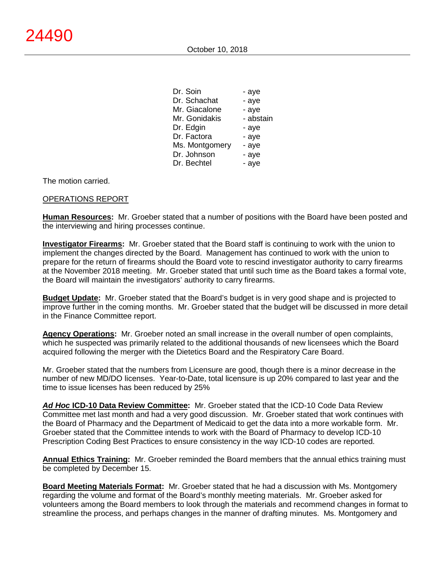October 10, 2018

| Dr. Soin       | - aye     |
|----------------|-----------|
| Dr. Schachat   | - aye     |
| Mr. Giacalone  | - aye     |
| Mr. Gonidakis  | - abstain |
| Dr. Edgin      | - aye     |
| Dr. Factora    | - aye     |
| Ms. Montgomery | - aye     |
| Dr. Johnson    | - aye     |
| Dr. Bechtel    | - aye     |
|                |           |

The motion carried.

### OPERATIONS REPORT

**Human Resources:** Mr. Groeber stated that a number of positions with the Board have been posted and the interviewing and hiring processes continue.

**Investigator Firearms:** Mr. Groeber stated that the Board staff is continuing to work with the union to implement the changes directed by the Board. Management has continued to work with the union to prepare for the return of firearms should the Board vote to rescind investigator authority to carry firearms at the November 2018 meeting. Mr. Groeber stated that until such time as the Board takes a formal vote, the Board will maintain the investigators' authority to carry firearms.

**Budget Update:** Mr. Groeber stated that the Board's budget is in very good shape and is projected to improve further in the coming months. Mr. Groeber stated that the budget will be discussed in more detail in the Finance Committee report.

**Agency Operations:** Mr. Groeber noted an small increase in the overall number of open complaints, which he suspected was primarily related to the additional thousands of new licensees which the Board acquired following the merger with the Dietetics Board and the Respiratory Care Board.

Mr. Groeber stated that the numbers from Licensure are good, though there is a minor decrease in the number of new MD/DO licenses. Year-to-Date, total licensure is up 20% compared to last year and the time to issue licenses has been reduced by 25%

*Ad Hoc* **ICD-10 Data Review Committee:** Mr. Groeber stated that the ICD-10 Code Data Review Committee met last month and had a very good discussion. Mr. Groeber stated that work continues with the Board of Pharmacy and the Department of Medicaid to get the data into a more workable form. Mr. Groeber stated that the Committee intends to work with the Board of Pharmacy to develop ICD-10 Prescription Coding Best Practices to ensure consistency in the way ICD-10 codes are reported.

**Annual Ethics Training:** Mr. Groeber reminded the Board members that the annual ethics training must be completed by December 15.

**Board Meeting Materials Format:** Mr. Groeber stated that he had a discussion with Ms. Montgomery regarding the volume and format of the Board's monthly meeting materials. Mr. Groeber asked for volunteers among the Board members to look through the materials and recommend changes in format to streamline the process, and perhaps changes in the manner of drafting minutes. Ms. Montgomery and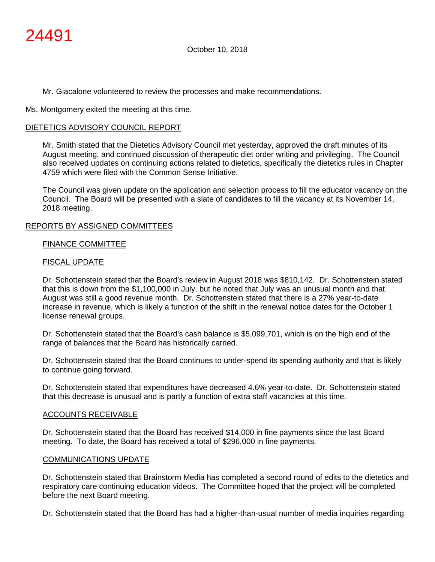Mr. Giacalone volunteered to review the processes and make recommendations.

Ms. Montgomery exited the meeting at this time.

### DIETETICS ADVISORY COUNCIL REPORT

Mr. Smith stated that the Dietetics Advisory Council met yesterday, approved the draft minutes of its August meeting, and continued discussion of therapeutic diet order writing and privileging. The Council also received updates on continuing actions related to dietetics, specifically the dietetics rules in Chapter 4759 which were filed with the Common Sense Initiative.

The Council was given update on the application and selection process to fill the educator vacancy on the Council. The Board will be presented with a slate of candidates to fill the vacancy at its November 14, 2018 meeting.

### REPORTS BY ASSIGNED COMMITTEES

#### FINANCE COMMITTEE

### FISCAL UPDATE

Dr. Schottenstein stated that the Board's review in August 2018 was \$810,142. Dr. Schottenstein stated that this is down from the \$1,100,000 in July, but he noted that July was an unusual month and that August was still a good revenue month. Dr. Schottenstein stated that there is a 27% year-to-date increase in revenue, which is likely a function of the shift in the renewal notice dates for the October 1 license renewal groups.

Dr. Schottenstein stated that the Board's cash balance is \$5,099,701, which is on the high end of the range of balances that the Board has historically carried.

Dr. Schottenstein stated that the Board continues to under-spend its spending authority and that is likely to continue going forward.

Dr. Schottenstein stated that expenditures have decreased 4.6% year-to-date. Dr. Schottenstein stated that this decrease is unusual and is partly a function of extra staff vacancies at this time.

#### ACCOUNTS RECEIVABLE

Dr. Schottenstein stated that the Board has received \$14,000 in fine payments since the last Board meeting. To date, the Board has received a total of \$296,000 in fine payments.

#### COMMUNICATIONS UPDATE

Dr. Schottenstein stated that Brainstorm Media has completed a second round of edits to the dietetics and respiratory care continuing education videos. The Committee hoped that the project will be completed before the next Board meeting.

Dr. Schottenstein stated that the Board has had a higher-than-usual number of media inquiries regarding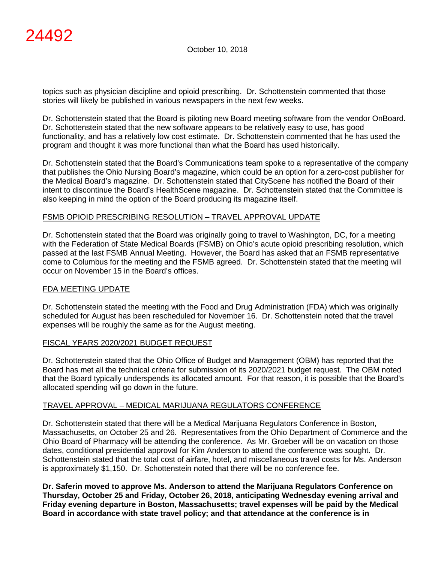topics such as physician discipline and opioid prescribing. Dr. Schottenstein commented that those stories will likely be published in various newspapers in the next few weeks.

Dr. Schottenstein stated that the Board is piloting new Board meeting software from the vendor OnBoard. Dr. Schottenstein stated that the new software appears to be relatively easy to use, has good functionality, and has a relatively low cost estimate. Dr. Schottenstein commented that he has used the program and thought it was more functional than what the Board has used historically.

Dr. Schottenstein stated that the Board's Communications team spoke to a representative of the company that publishes the Ohio Nursing Board's magazine, which could be an option for a zero-cost publisher for the Medical Board's magazine. Dr. Schottenstein stated that CityScene has notified the Board of their intent to discontinue the Board's HealthScene magazine. Dr. Schottenstein stated that the Committee is also keeping in mind the option of the Board producing its magazine itself.

### FSMB OPIOID PRESCRIBING RESOLUTION – TRAVEL APPROVAL UPDATE

Dr. Schottenstein stated that the Board was originally going to travel to Washington, DC, for a meeting with the Federation of State Medical Boards (FSMB) on Ohio's acute opioid prescribing resolution, which passed at the last FSMB Annual Meeting. However, the Board has asked that an FSMB representative come to Columbus for the meeting and the FSMB agreed. Dr. Schottenstein stated that the meeting will occur on November 15 in the Board's offices.

#### FDA MEETING UPDATE

Dr. Schottenstein stated the meeting with the Food and Drug Administration (FDA) which was originally scheduled for August has been rescheduled for November 16. Dr. Schottenstein noted that the travel expenses will be roughly the same as for the August meeting.

#### FISCAL YEARS 2020/2021 BUDGET REQUEST

Dr. Schottenstein stated that the Ohio Office of Budget and Management (OBM) has reported that the Board has met all the technical criteria for submission of its 2020/2021 budget request. The OBM noted that the Board typically underspends its allocated amount. For that reason, it is possible that the Board's allocated spending will go down in the future.

#### TRAVEL APPROVAL – MEDICAL MARIJUANA REGULATORS CONFERENCE

Dr. Schottenstein stated that there will be a Medical Marijuana Regulators Conference in Boston, Massachusetts, on October 25 and 26. Representatives from the Ohio Department of Commerce and the Ohio Board of Pharmacy will be attending the conference. As Mr. Groeber will be on vacation on those dates, conditional presidential approval for Kim Anderson to attend the conference was sought. Dr. Schottenstein stated that the total cost of airfare, hotel, and miscellaneous travel costs for Ms. Anderson is approximately \$1,150. Dr. Schottenstein noted that there will be no conference fee.

**Dr. Saferin moved to approve Ms. Anderson to attend the Marijuana Regulators Conference on Thursday, October 25 and Friday, October 26, 2018, anticipating Wednesday evening arrival and Friday evening departure in Boston, Massachusetts; travel expenses will be paid by the Medical Board in accordance with state travel policy; and that attendance at the conference is in**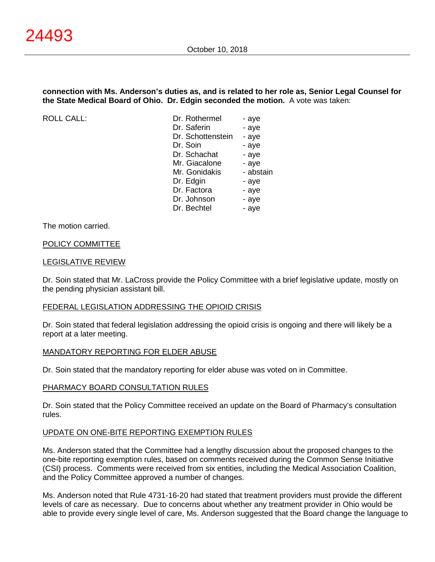#### **connection with Ms. Anderson's duties as, and is related to her role as, Senior Legal Counsel for the State Medical Board of Ohio. Dr. Edgin seconded the motion.** A vote was taken:

ROLL CALL:

| Dr. Rothermel     | - aye     |
|-------------------|-----------|
| Dr. Saferin       | - aye     |
| Dr. Schottenstein | - aye     |
| Dr. Soin          | - aye     |
| Dr. Schachat      | - aye     |
| Mr. Giacalone     | - aye     |
| Mr. Gonidakis     | - abstain |
| Dr. Edgin         | - aye     |
| Dr. Factora       | - aye     |
| Dr. Johnson       | - aye     |
| Dr. Bechtel       | - aye     |
|                   |           |

#### The motion carried.

#### POLICY COMMITTEE

#### LEGISLATIVE REVIEW

Dr. Soin stated that Mr. LaCross provide the Policy Committee with a brief legislative update, mostly on the pending physician assistant bill.

#### FEDERAL LEGISLATION ADDRESSING THE OPIOID CRISIS

Dr. Soin stated that federal legislation addressing the opioid crisis is ongoing and there will likely be a report at a later meeting.

#### MANDATORY REPORTING FOR ELDER ABUSE

Dr. Soin stated that the mandatory reporting for elder abuse was voted on in Committee.

#### PHARMACY BOARD CONSULTATION RULES

Dr. Soin stated that the Policy Committee received an update on the Board of Pharmacy's consultation rules.

#### UPDATE ON ONE-BITE REPORTING EXEMPTION RULES

Ms. Anderson stated that the Committee had a lengthy discussion about the proposed changes to the one-bite reporting exemption rules, based on comments received during the Common Sense Initiative (CSI) process. Comments were received from six entities, including the Medical Association Coalition, and the Policy Committee approved a number of changes.

Ms. Anderson noted that Rule 4731-16-20 had stated that treatment providers must provide the different levels of care as necessary. Due to concerns about whether any treatment provider in Ohio would be able to provide every single level of care, Ms. Anderson suggested that the Board change the language to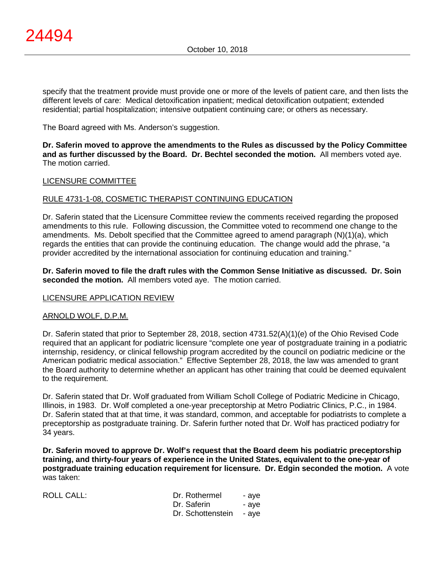specify that the treatment provide must provide one or more of the levels of patient care, and then lists the different levels of care: Medical detoxification inpatient; medical detoxification outpatient; extended residential; partial hospitalization; intensive outpatient continuing care; or others as necessary.

The Board agreed with Ms. Anderson's suggestion.

**Dr. Saferin moved to approve the amendments to the Rules as discussed by the Policy Committee and as further discussed by the Board. Dr. Bechtel seconded the motion.** All members voted aye. The motion carried.

### LICENSURE COMMITTEE

### RULE 4731-1-08, COSMETIC THERAPIST CONTINUING EDUCATION

Dr. Saferin stated that the Licensure Committee review the comments received regarding the proposed amendments to this rule. Following discussion, the Committee voted to recommend one change to the amendments. Ms. Debolt specified that the Committee agreed to amend paragraph (N)(1)(a), which regards the entities that can provide the continuing education. The change would add the phrase, "a provider accredited by the international association for continuing education and training."

**Dr. Saferin moved to file the draft rules with the Common Sense Initiative as discussed. Dr. Soin seconded the motion.** All members voted aye. The motion carried.

#### LICENSURE APPLICATION REVIEW

#### ARNOLD WOLF, D.P.M.

Dr. Saferin stated that prior to September 28, 2018, section 4731.52(A)(1)(e) of the Ohio Revised Code required that an applicant for podiatric licensure "complete one year of postgraduate training in a podiatric internship, residency, or clinical fellowship program accredited by the council on podiatric medicine or the American podiatric medical association." Effective September 28, 2018, the law was amended to grant the Board authority to determine whether an applicant has other training that could be deemed equivalent to the requirement.

Dr. Saferin stated that Dr. Wolf graduated from William Scholl College of Podiatric Medicine in Chicago, Illinois, in 1983. Dr. Wolf completed a one-year preceptorship at Metro Podiatric Clinics, P.C., in 1984. Dr. Saferin stated that at that time, it was standard, common, and acceptable for podiatrists to complete a preceptorship as postgraduate training. Dr. Saferin further noted that Dr. Wolf has practiced podiatry for 34 years.

**Dr. Saferin moved to approve Dr. Wolf's request that the Board deem his podiatric preceptorship training, and thirty-four years of experience in the United States, equivalent to the one-year of postgraduate training education requirement for licensure. Dr. Edgin seconded the motion.** A vote was taken:

| <b>ROLL CALL:</b> | Dr. Rothermel<br>Dr. Saferin<br>Dr. Schottenstein - aye | - ave<br>- ave |
|-------------------|---------------------------------------------------------|----------------|
|-------------------|---------------------------------------------------------|----------------|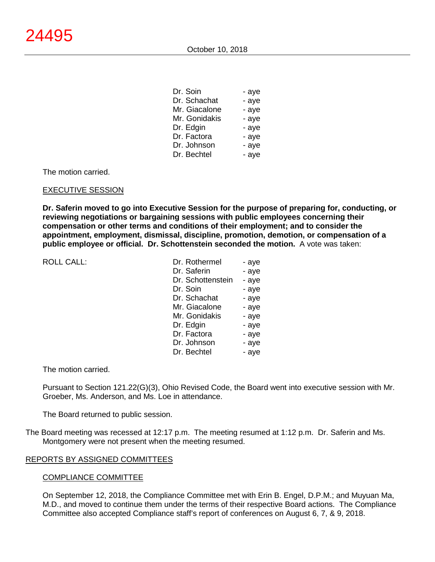| Dr. Soin      | - aye |
|---------------|-------|
| Dr. Schachat  | - aye |
| Mr. Giacalone | - aye |
| Mr. Gonidakis | - aye |
| Dr. Edgin     | - aye |
| Dr. Factora   | - aye |
| Dr. Johnson   | - aye |
| Dr. Bechtel   | - aye |

The motion carried.

#### EXECUTIVE SESSION

**Dr. Saferin moved to go into Executive Session for the purpose of preparing for, conducting, or reviewing negotiations or bargaining sessions with public employees concerning their compensation or other terms and conditions of their employment; and to consider the appointment, employment, dismissal, discipline, promotion, demotion, or compensation of a public employee or official. Dr. Schottenstein seconded the motion.** A vote was taken:

ROLL CALL:

| Dr. Rothermel     | - aye |
|-------------------|-------|
| Dr. Saferin       | - aye |
| Dr. Schottenstein | - aye |
| Dr. Soin          | - aye |
| Dr. Schachat      | - aye |
| Mr. Giacalone     | - aye |
| Mr. Gonidakis     | - aye |
| Dr. Edgin         | - aye |
| Dr. Factora       | - aye |
| Dr. Johnson       | - aye |
| Dr. Bechtel       | - aye |

#### The motion carried.

Pursuant to Section 121.22(G)(3), Ohio Revised Code, the Board went into executive session with Mr. Groeber, Ms. Anderson, and Ms. Loe in attendance.

The Board returned to public session.

The Board meeting was recessed at 12:17 p.m. The meeting resumed at 1:12 p.m. Dr. Saferin and Ms. Montgomery were not present when the meeting resumed.

#### REPORTS BY ASSIGNED COMMITTEES

#### COMPLIANCE COMMITTEE

On September 12, 2018, the Compliance Committee met with Erin B. Engel, D.P.M.; and Muyuan Ma, M.D., and moved to continue them under the terms of their respective Board actions. The Compliance Committee also accepted Compliance staff's report of conferences on August 6, 7, & 9, 2018.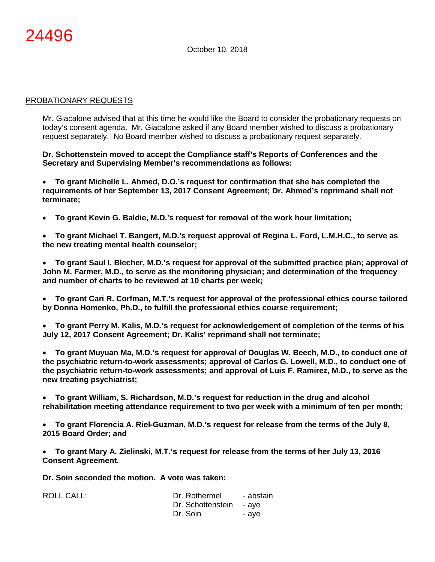#### PROBATIONARY REQUESTS

Mr. Giacalone advised that at this time he would like the Board to consider the probationary requests on today's consent agenda. Mr. Giacalone asked if any Board member wished to discuss a probationary request separately. No Board member wished to discuss a probationary request separately.

**Dr. Schottenstein moved to accept the Compliance staff's Reports of Conferences and the Secretary and Supervising Member's recommendations as follows:**

• **To grant Michelle L. Ahmed, D.O.'s request for confirmation that she has completed the requirements of her September 13, 2017 Consent Agreement; Dr. Ahmed's reprimand shall not terminate;**

• **To grant Kevin G. Baldie, M.D.'s request for removal of the work hour limitation;**

• **To grant Michael T. Bangert, M.D.'s request approval of Regina L. Ford, L.M.H.C., to serve as the new treating mental health counselor;**

• **To grant Saul I. Blecher, M.D.'s request for approval of the submitted practice plan; approval of John M. Farmer, M.D., to serve as the monitoring physician; and determination of the frequency and number of charts to be reviewed at 10 charts per week;**

• **To grant Cari R. Corfman, M.T.'s request for approval of the professional ethics course tailored by Donna Homenko, Ph.D., to fulfill the professional ethics course requirement;**

• **To grant Perry M. Kalis, M.D.'s request for acknowledgement of completion of the terms of his July 12, 2017 Consent Agreement; Dr. Kalis' reprimand shall not terminate;**

• **To grant Muyuan Ma, M.D.'s request for approval of Douglas W. Beech, M.D., to conduct one of the psychiatric return-to-work assessments; approval of Carlos G. Lowell, M.D., to conduct one of the psychiatric return-to-work assessments; and approval of Luis F. Ramirez, M.D., to serve as the new treating psychiatrist;**

• **To grant William, S. Richardson, M.D.'s request for reduction in the drug and alcohol rehabilitation meeting attendance requirement to two per week with a minimum of ten per month;**

• **To grant Florencia A. Riel-Guzman, M.D.'s request for release from the terms of the July 8, 2015 Board Order; and**

• **To grant Mary A. Zielinski, M.T.'s request for release from the terms of her July 13, 2016 Consent Agreement.**

**Dr. Soin seconded the motion. A vote was taken:**

| <b>ROLL CALL:</b> | Dr. Rothermel           | - abstain |
|-------------------|-------------------------|-----------|
|                   | Dr. Schottenstein - aye |           |
|                   | Dr. Soin                | - ave     |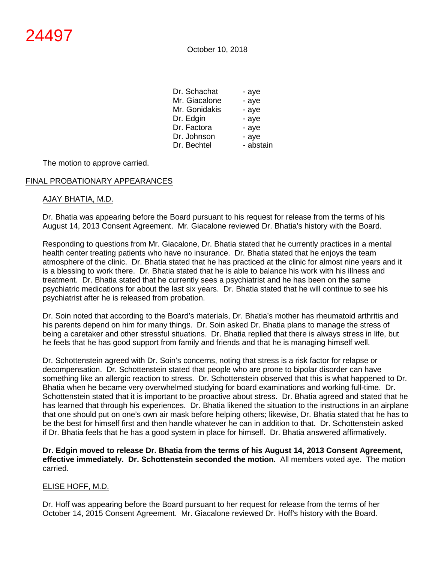| Dr. Schachat  | - aye     |
|---------------|-----------|
| Mr. Giacalone | - aye     |
| Mr. Gonidakis | - aye     |
| Dr. Edgin     | - aye     |
| Dr. Factora   | - aye     |
| Dr. Johnson   | - aye     |
| Dr. Bechtel   | - abstain |

The motion to approve carried.

#### FINAL PROBATIONARY APPEARANCES

#### AJAY BHATIA, M.D.

Dr. Bhatia was appearing before the Board pursuant to his request for release from the terms of his August 14, 2013 Consent Agreement. Mr. Giacalone reviewed Dr. Bhatia's history with the Board.

Responding to questions from Mr. Giacalone, Dr. Bhatia stated that he currently practices in a mental health center treating patients who have no insurance. Dr. Bhatia stated that he enjoys the team atmosphere of the clinic. Dr. Bhatia stated that he has practiced at the clinic for almost nine years and it is a blessing to work there. Dr. Bhatia stated that he is able to balance his work with his illness and treatment. Dr. Bhatia stated that he currently sees a psychiatrist and he has been on the same psychiatric medications for about the last six years. Dr. Bhatia stated that he will continue to see his psychiatrist after he is released from probation.

Dr. Soin noted that according to the Board's materials, Dr. Bhatia's mother has rheumatoid arthritis and his parents depend on him for many things. Dr. Soin asked Dr. Bhatia plans to manage the stress of being a caretaker and other stressful situations. Dr. Bhatia replied that there is always stress in life, but he feels that he has good support from family and friends and that he is managing himself well.

Dr. Schottenstein agreed with Dr. Soin's concerns, noting that stress is a risk factor for relapse or decompensation. Dr. Schottenstein stated that people who are prone to bipolar disorder can have something like an allergic reaction to stress. Dr. Schottenstein observed that this is what happened to Dr. Bhatia when he became very overwhelmed studying for board examinations and working full-time. Dr. Schottenstein stated that it is important to be proactive about stress. Dr. Bhatia agreed and stated that he has learned that through his experiences. Dr. Bhatia likened the situation to the instructions in an airplane that one should put on one's own air mask before helping others; likewise, Dr. Bhatia stated that he has to be the best for himself first and then handle whatever he can in addition to that. Dr. Schottenstein asked if Dr. Bhatia feels that he has a good system in place for himself. Dr. Bhatia answered affirmatively.

**Dr. Edgin moved to release Dr. Bhatia from the terms of his August 14, 2013 Consent Agreement, effective immediately. Dr. Schottenstein seconded the motion.** All members voted aye. The motion carried.

#### ELISE HOFF, M.D.

Dr. Hoff was appearing before the Board pursuant to her request for release from the terms of her October 14, 2015 Consent Agreement. Mr. Giacalone reviewed Dr. Hoff's history with the Board.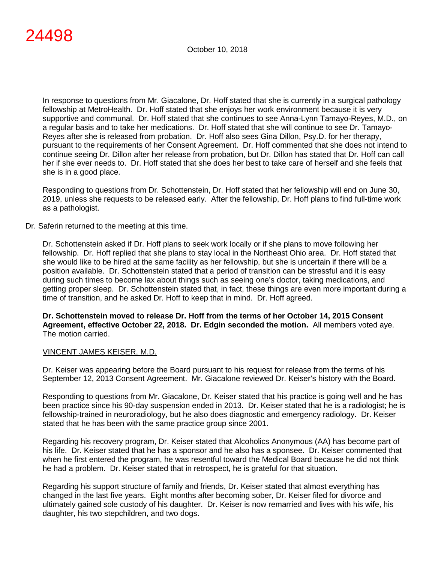In response to questions from Mr. Giacalone, Dr. Hoff stated that she is currently in a surgical pathology fellowship at MetroHealth. Dr. Hoff stated that she enjoys her work environment because it is very supportive and communal. Dr. Hoff stated that she continues to see Anna-Lynn Tamayo-Reyes, M.D., on a regular basis and to take her medications. Dr. Hoff stated that she will continue to see Dr. Tamayo-Reyes after she is released from probation. Dr. Hoff also sees Gina Dillon, Psy.D. for her therapy, pursuant to the requirements of her Consent Agreement. Dr. Hoff commented that she does not intend to continue seeing Dr. Dillon after her release from probation, but Dr. Dillon has stated that Dr. Hoff can call her if she ever needs to. Dr. Hoff stated that she does her best to take care of herself and she feels that she is in a good place.

Responding to questions from Dr. Schottenstein, Dr. Hoff stated that her fellowship will end on June 30, 2019, unless she requests to be released early. After the fellowship, Dr. Hoff plans to find full-time work as a pathologist.

Dr. Saferin returned to the meeting at this time.

Dr. Schottenstein asked if Dr. Hoff plans to seek work locally or if she plans to move following her fellowship. Dr. Hoff replied that she plans to stay local in the Northeast Ohio area. Dr. Hoff stated that she would like to be hired at the same facility as her fellowship, but she is uncertain if there will be a position available. Dr. Schottenstein stated that a period of transition can be stressful and it is easy during such times to become lax about things such as seeing one's doctor, taking medications, and getting proper sleep. Dr. Schottenstein stated that, in fact, these things are even more important during a time of transition, and he asked Dr. Hoff to keep that in mind. Dr. Hoff agreed.

**Dr. Schottenstein moved to release Dr. Hoff from the terms of her October 14, 2015 Consent Agreement, effective October 22, 2018. Dr. Edgin seconded the motion.** All members voted aye. The motion carried.

#### VINCENT JAMES KEISER, M.D.

Dr. Keiser was appearing before the Board pursuant to his request for release from the terms of his September 12, 2013 Consent Agreement. Mr. Giacalone reviewed Dr. Keiser's history with the Board.

Responding to questions from Mr. Giacalone, Dr. Keiser stated that his practice is going well and he has been practice since his 90-day suspension ended in 2013. Dr. Keiser stated that he is a radiologist; he is fellowship-trained in neuroradiology, but he also does diagnostic and emergency radiology. Dr. Keiser stated that he has been with the same practice group since 2001.

Regarding his recovery program, Dr. Keiser stated that Alcoholics Anonymous (AA) has become part of his life. Dr. Keiser stated that he has a sponsor and he also has a sponsee. Dr. Keiser commented that when he first entered the program, he was resentful toward the Medical Board because he did not think he had a problem. Dr. Keiser stated that in retrospect, he is grateful for that situation.

Regarding his support structure of family and friends, Dr. Keiser stated that almost everything has changed in the last five years. Eight months after becoming sober, Dr. Keiser filed for divorce and ultimately gained sole custody of his daughter. Dr. Keiser is now remarried and lives with his wife, his daughter, his two stepchildren, and two dogs.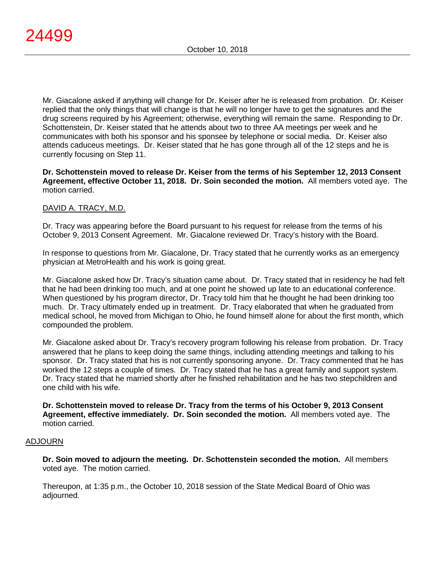Mr. Giacalone asked if anything will change for Dr. Keiser after he is released from probation. Dr. Keiser replied that the only things that will change is that he will no longer have to get the signatures and the drug screens required by his Agreement; otherwise, everything will remain the same. Responding to Dr. Schottenstein, Dr. Keiser stated that he attends about two to three AA meetings per week and he communicates with both his sponsor and his sponsee by telephone or social media. Dr. Keiser also attends caduceus meetings. Dr. Keiser stated that he has gone through all of the 12 steps and he is currently focusing on Step 11.

**Dr. Schottenstein moved to release Dr. Keiser from the terms of his September 12, 2013 Consent Agreement, effective October 11, 2018. Dr. Soin seconded the motion.** All members voted aye. The motion carried.

# DAVID A. TRACY, M.D.

Dr. Tracy was appearing before the Board pursuant to his request for release from the terms of his October 9, 2013 Consent Agreement. Mr. Giacalone reviewed Dr. Tracy's history with the Board.

In response to questions from Mr. Giacalone, Dr. Tracy stated that he currently works as an emergency physician at MetroHealth and his work is going great.

Mr. Giacalone asked how Dr. Tracy's situation came about. Dr. Tracy stated that in residency he had felt that he had been drinking too much, and at one point he showed up late to an educational conference. When questioned by his program director, Dr. Tracy told him that he thought he had been drinking too much. Dr. Tracy ultimately ended up in treatment. Dr. Tracy elaborated that when he graduated from medical school, he moved from Michigan to Ohio, he found himself alone for about the first month, which compounded the problem.

Mr. Giacalone asked about Dr. Tracy's recovery program following his release from probation. Dr. Tracy answered that he plans to keep doing the same things, including attending meetings and talking to his sponsor. Dr. Tracy stated that his is not currently sponsoring anyone. Dr. Tracy commented that he has worked the 12 steps a couple of times. Dr. Tracy stated that he has a great family and support system. Dr. Tracy stated that he married shortly after he finished rehabilitation and he has two stepchildren and one child with his wife.

**Dr. Schottenstein moved to release Dr. Tracy from the terms of his October 9, 2013 Consent Agreement, effective immediately. Dr. Soin seconded the motion.** All members voted aye. The motion carried.

#### ADJOURN

**Dr. Soin moved to adjourn the meeting. Dr. Schottenstein seconded the motion.** All members voted aye. The motion carried.

Thereupon, at 1:35 p.m., the October 10, 2018 session of the State Medical Board of Ohio was adjourned.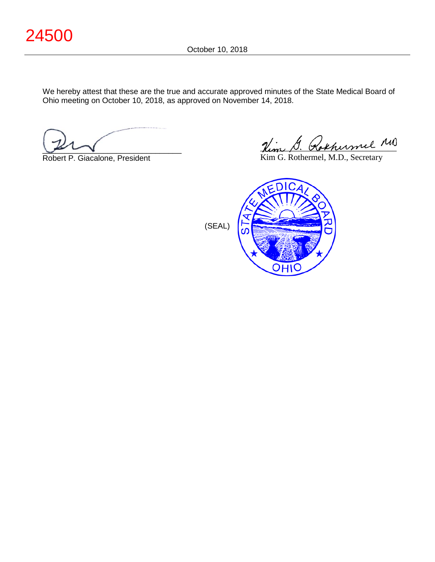We hereby attest that these are the true and accurate approved minutes of the State Medical Board of Ohio meeting on October 10, 2018, as approved on November 14, 2018.

 $\sim$ 

Robert P. Giacalone, President

Hem D. Kokhermel

Kim G. Rothermel, M.D., Secretary



(SEAL)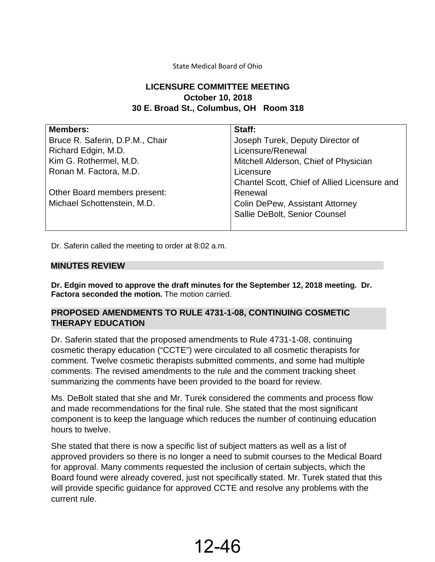# State Medical Board of Ohio

# **LICENSURE COMMITTEE MEETING October 10, 2018 30 E. Broad St., Columbus, OH Room 318**

| <b>Members:</b>                 | Staff:                                       |
|---------------------------------|----------------------------------------------|
| Bruce R. Saferin, D.P.M., Chair | Joseph Turek, Deputy Director of             |
| Richard Edgin, M.D.             | Licensure/Renewal                            |
| Kim G. Rothermel, M.D.          | Mitchell Alderson, Chief of Physician        |
| Ronan M. Factora, M.D.          | Licensure                                    |
|                                 | Chantel Scott, Chief of Allied Licensure and |
| Other Board members present:    | Renewal                                      |
| Michael Schottenstein, M.D.     | <b>Colin DePew, Assistant Attorney</b>       |
|                                 | Sallie DeBolt, Senior Counsel                |
|                                 |                                              |

Dr. Saferin called the meeting to order at 8:02 a.m.

### **MINUTES REVIEW**

**Dr. Edgin moved to approve the draft minutes for the September 12, 2018 meeting. Dr. Factora seconded the motion.** The motion carried.

# **PROPOSED AMENDMENTS TO RULE 4731-1-08, CONTINUING COSMETIC THERAPY EDUCATION**

Dr. Saferin stated that the proposed amendments to Rule 4731-1-08, continuing cosmetic therapy education ("CCTE") were circulated to all cosmetic therapists for comment. Twelve cosmetic therapists submitted comments, and some had multiple comments. The revised amendments to the rule and the comment tracking sheet summarizing the comments have been provided to the board for review.

Ms. DeBolt stated that she and Mr. Turek considered the comments and process flow and made recommendations for the final rule. She stated that the most significant component is to keep the language which reduces the number of continuing education hours to twelve.

She stated that there is now a specific list of subject matters as well as a list of approved providers so there is no longer a need to submit courses to the Medical Board for approval. Many comments requested the inclusion of certain subjects, which the Board found were already covered, just not specifically stated. Mr. Turek stated that this will provide specific guidance for approved CCTE and resolve any problems with the current rule.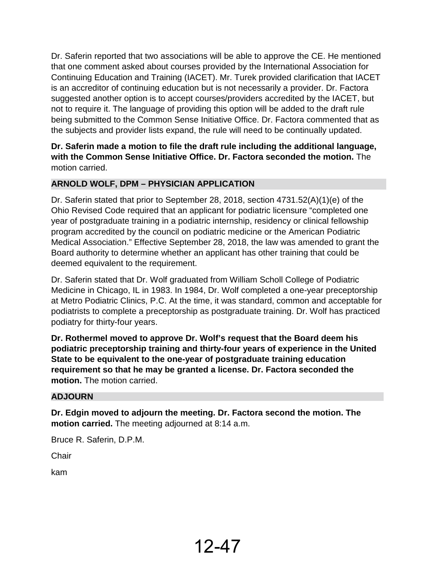Dr. Saferin reported that two associations will be able to approve the CE. He mentioned that one comment asked about courses provided by the International Association for Continuing Education and Training (IACET). Mr. Turek provided clarification that IACET is an accreditor of continuing education but is not necessarily a provider. Dr. Factora suggested another option is to accept courses/providers accredited by the IACET, but not to require it. The language of providing this option will be added to the draft rule being submitted to the Common Sense Initiative Office. Dr. Factora commented that as the subjects and provider lists expand, the rule will need to be continually updated.

**Dr. Saferin made a motion to file the draft rule including the additional language, with the Common Sense Initiative Office. Dr. Factora seconded the motion.** The motion carried.

# **ARNOLD WOLF, DPM – PHYSICIAN APPLICATION**

Dr. Saferin stated that prior to September 28, 2018, section 4731.52(A)(1)(e) of the Ohio Revised Code required that an applicant for podiatric licensure "completed one year of postgraduate training in a podiatric internship, residency or clinical fellowship program accredited by the council on podiatric medicine or the American Podiatric Medical Association." Effective September 28, 2018, the law was amended to grant the Board authority to determine whether an applicant has other training that could be deemed equivalent to the requirement.

Dr. Saferin stated that Dr. Wolf graduated from William Scholl College of Podiatric Medicine in Chicago, IL in 1983. In 1984, Dr. Wolf completed a one-year preceptorship at Metro Podiatric Clinics, P.C. At the time, it was standard, common and acceptable for podiatrists to complete a preceptorship as postgraduate training. Dr. Wolf has practiced podiatry for thirty-four years.

**Dr. Rothermel moved to approve Dr. Wolf's request that the Board deem his podiatric preceptorship training and thirty-four years of experience in the United State to be equivalent to the one-year of postgraduate training education requirement so that he may be granted a license. Dr. Factora seconded the motion.** The motion carried.

# **ADJOURN**

**Dr. Edgin moved to adjourn the meeting. Dr. Factora second the motion. The motion carried.** The meeting adjourned at 8:14 a.m.

Bruce R. Saferin, D.P.M.

**Chair** 

kam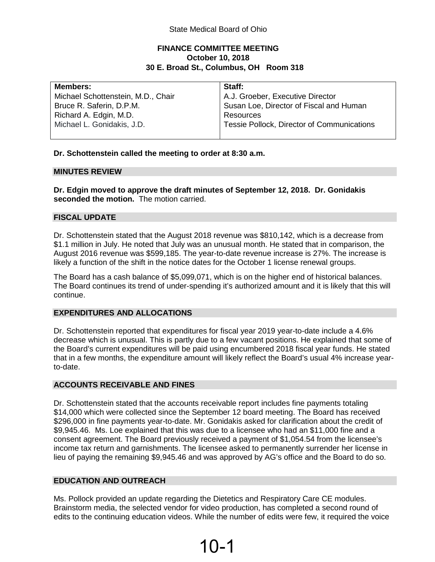# **FINANCE COMMITTEE MEETING October 10, 2018 30 E. Broad St., Columbus, OH Room 318**

| <b>Members:</b>                    | Staff:                                     |
|------------------------------------|--------------------------------------------|
| Michael Schottenstein, M.D., Chair | A.J. Groeber, Executive Director           |
| Bruce R. Saferin, D.P.M.           | Susan Loe, Director of Fiscal and Human    |
| Richard A. Edgin, M.D.             | Resources                                  |
| Michael L. Gonidakis, J.D.         | Tessie Pollock, Director of Communications |
|                                    |                                            |

# **Dr. Schottenstein called the meeting to order at 8:30 a.m.**

#### **MINUTES REVIEW**

**Dr. Edgin moved to approve the draft minutes of September 12, 2018. Dr. Gonidakis seconded the motion.** The motion carried.

#### **FISCAL UPDATE**

Dr. Schottenstein stated that the August 2018 revenue was \$810,142, which is a decrease from \$1.1 million in July. He noted that July was an unusual month. He stated that in comparison, the August 2016 revenue was \$599,185. The year-to-date revenue increase is 27%. The increase is likely a function of the shift in the notice dates for the October 1 license renewal groups.

The Board has a cash balance of \$5,099,071, which is on the higher end of historical balances. The Board continues its trend of under-spending it's authorized amount and it is likely that this will continue.

#### **EXPENDITURES AND ALLOCATIONS**

Dr. Schottenstein reported that expenditures for fiscal year 2019 year-to-date include a 4.6% decrease which is unusual. This is partly due to a few vacant positions. He explained that some of the Board's current expenditures will be paid using encumbered 2018 fiscal year funds. He stated that in a few months, the expenditure amount will likely reflect the Board's usual 4% increase yearto-date.

# **ACCOUNTS RECEIVABLE AND FINES**

Dr. Schottenstein stated that the accounts receivable report includes fine payments totaling \$14,000 which were collected since the September 12 board meeting. The Board has received \$296,000 in fine payments year-to-date. Mr. Gonidakis asked for clarification about the credit of \$9,945.46. Ms. Loe explained that this was due to a licensee who had an \$11,000 fine and a consent agreement. The Board previously received a payment of \$1,054.54 from the licensee's income tax return and garnishments. The licensee asked to permanently surrender her license in lieu of paying the remaining \$9,945.46 and was approved by AG's office and the Board to do so.

# **EDUCATION AND OUTREACH**

Ms. Pollock provided an update regarding the Dietetics and Respiratory Care CE modules. Brainstorm media, the selected vendor for video production, has completed a second round of edits to the continuing education videos. While the number of edits were few, it required the voice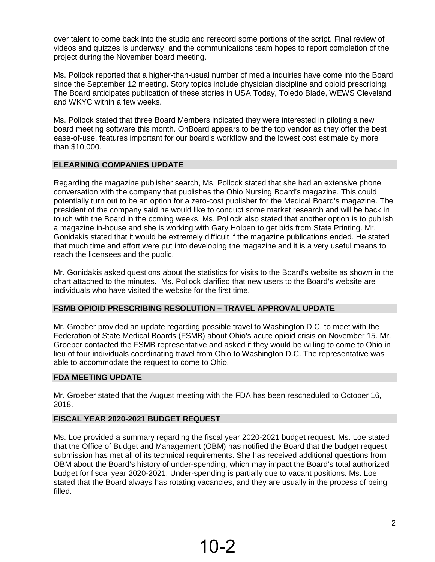over talent to come back into the studio and rerecord some portions of the script. Final review of videos and quizzes is underway, and the communications team hopes to report completion of the project during the November board meeting.

Ms. Pollock reported that a higher-than-usual number of media inquiries have come into the Board since the September 12 meeting. Story topics include physician discipline and opioid prescribing. The Board anticipates publication of these stories in USA Today, Toledo Blade, WEWS Cleveland and WKYC within a few weeks.

Ms. Pollock stated that three Board Members indicated they were interested in piloting a new board meeting software this month. OnBoard appears to be the top vendor as they offer the best ease-of-use, features important for our board's workflow and the lowest cost estimate by more than \$10,000.

### **ELEARNING COMPANIES UPDATE**

Regarding the magazine publisher search, Ms. Pollock stated that she had an extensive phone conversation with the company that publishes the Ohio Nursing Board's magazine. This could potentially turn out to be an option for a zero-cost publisher for the Medical Board's magazine. The president of the company said he would like to conduct some market research and will be back in touch with the Board in the coming weeks. Ms. Pollock also stated that another option is to publish a magazine in-house and she is working with Gary Holben to get bids from State Printing. Mr. Gonidakis stated that it would be extremely difficult if the magazine publications ended. He stated that much time and effort were put into developing the magazine and it is a very useful means to reach the licensees and the public.

Mr. Gonidakis asked questions about the statistics for visits to the Board's website as shown in the chart attached to the minutes. Ms. Pollock clarified that new users to the Board's website are individuals who have visited the website for the first time.

# **FSMB OPIOID PRESCRIBING RESOLUTION – TRAVEL APPROVAL UPDATE**

Mr. Groeber provided an update regarding possible travel to Washington D.C. to meet with the Federation of State Medical Boards (FSMB) about Ohio's acute opioid crisis on November 15. Mr. Groeber contacted the FSMB representative and asked if they would be willing to come to Ohio in lieu of four individuals coordinating travel from Ohio to Washington D.C. The representative was able to accommodate the request to come to Ohio.

#### **FDA MEETING UPDATE**

Mr. Groeber stated that the August meeting with the FDA has been rescheduled to October 16, 2018.

# **FISCAL YEAR 2020-2021 BUDGET REQUEST**

Ms. Loe provided a summary regarding the fiscal year 2020-2021 budget request. Ms. Loe stated that the Office of Budget and Management (OBM) has notified the Board that the budget request submission has met all of its technical requirements. She has received additional questions from OBM about the Board's history of under-spending, which may impact the Board's total authorized budget for fiscal year 2020-2021. Under-spending is partially due to vacant positions. Ms. Loe stated that the Board always has rotating vacancies, and they are usually in the process of being filled.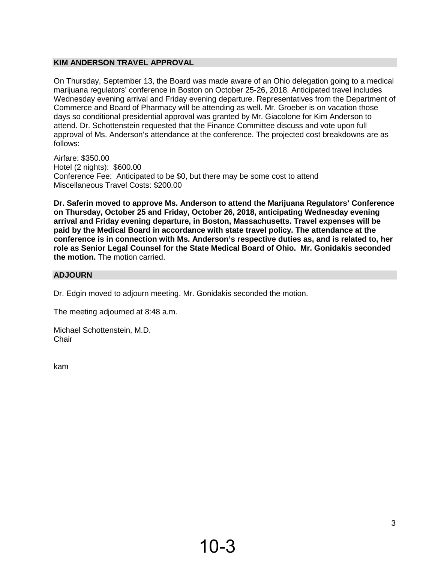# **KIM ANDERSON TRAVEL APPROVAL**

On Thursday, September 13, the Board was made aware of an Ohio delegation going to a medical marijuana regulators' conference in Boston on October 25-26, 2018. Anticipated travel includes Wednesday evening arrival and Friday evening departure. Representatives from the Department of Commerce and Board of Pharmacy will be attending as well. Mr. Groeber is on vacation those days so conditional presidential approval was granted by Mr. Giacolone for Kim Anderson to attend. Dr. Schottenstein requested that the Finance Committee discuss and vote upon full approval of Ms. Anderson's attendance at the conference. The projected cost breakdowns are as follows:

Airfare: \$350.00 Hotel (2 nights): \$600.00 Conference Fee: Anticipated to be \$0, but there may be some cost to attend Miscellaneous Travel Costs: \$200.00

**Dr. Saferin moved to approve Ms. Anderson to attend the Marijuana Regulators' Conference on Thursday, October 25 and Friday, October 26, 2018, anticipating Wednesday evening arrival and Friday evening departure, in Boston, Massachusetts. Travel expenses will be paid by the Medical Board in accordance with state travel policy. The attendance at the conference is in connection with Ms. Anderson's respective duties as, and is related to, her role as Senior Legal Counsel for the State Medical Board of Ohio. Mr. Gonidakis seconded the motion.** The motion carried.

### **ADJOURN**

Dr. Edgin moved to adjourn meeting. Mr. Gonidakis seconded the motion.

The meeting adjourned at 8:48 a.m.

Michael Schottenstein, M.D. **Chair** 

kam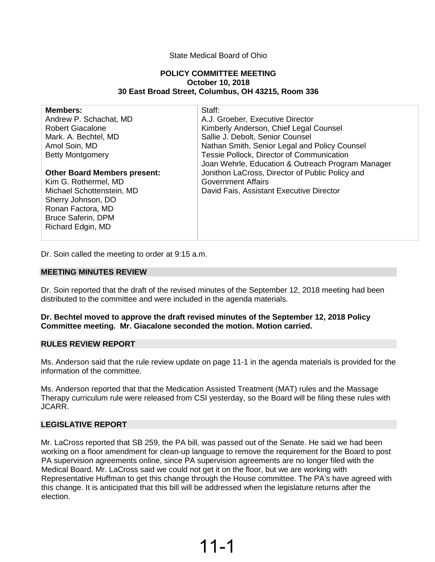#### State Medical Board of Ohio

#### **POLICY COMMITTEE MEETING October 10, 2018 30 East Broad Street, Columbus, OH 43215, Room 336**

| <b>Members:</b>                     | Staff:                                            |
|-------------------------------------|---------------------------------------------------|
| Andrew P. Schachat, MD              | A.J. Groeber, Executive Director                  |
| <b>Robert Giacalone</b>             | Kimberly Anderson, Chief Legal Counsel            |
| Mark. A. Bechtel, MD                | Sallie J. Debolt, Senior Counsel                  |
| Amol Soin, MD                       | Nathan Smith, Senior Legal and Policy Counsel     |
| <b>Betty Montgomery</b>             | Tessie Pollock, Director of Communication         |
|                                     | Joan Wehrle, Education & Outreach Program Manager |
| <b>Other Board Members present:</b> | Jonithon LaCross, Director of Public Policy and   |
| Kim G. Rothermel, MD                | <b>Government Affairs</b>                         |
| Michael Schottenstein, MD           | David Fais, Assistant Executive Director          |
| Sherry Johnson, DO                  |                                                   |
| Ronan Factora, MD                   |                                                   |
| <b>Bruce Saferin, DPM</b>           |                                                   |
| Richard Edgin, MD                   |                                                   |
|                                     |                                                   |

Dr. Soin called the meeting to order at 9:15 a.m.

#### **MEETING MINUTES REVIEW**

Dr. Soin reported that the draft of the revised minutes of the September 12, 2018 meeting had been distributed to the committee and were included in the agenda materials.

#### **Dr. Bechtel moved to approve the draft revised minutes of the September 12, 2018 Policy Committee meeting. Mr. Giacalone seconded the motion. Motion carried.**

#### **RULES REVIEW REPORT**

Ms. Anderson said that the rule review update on page 11-1 in the agenda materials is provided for the information of the committee.

Ms. Anderson reported that that the Medication Assisted Treatment (MAT) rules and the Massage Therapy curriculum rule were released from CSI yesterday, so the Board will be filing these rules with JCARR.

#### **LEGISLATIVE REPORT**

Mr. LaCross reported that SB 259, the PA bill, was passed out of the Senate. He said we had been working on a floor amendment for clean-up language to remove the requirement for the Board to post PA supervision agreements online, since PA supervision agreements are no longer filed with the Medical Board. Mr. LaCross said we could not get it on the floor, but we are working with Representative Huffman to get this change through the House committee. The PA's have agreed with this change. It is anticipated that this bill will be addressed when the legislature returns after the election.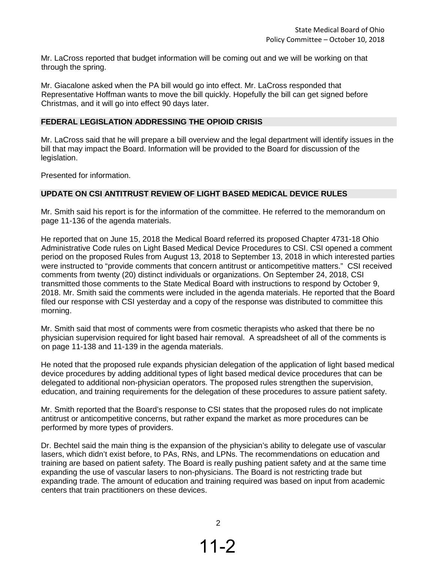Mr. LaCross reported that budget information will be coming out and we will be working on that through the spring.

Mr. Giacalone asked when the PA bill would go into effect. Mr. LaCross responded that Representative Hoffman wants to move the bill quickly. Hopefully the bill can get signed before Christmas, and it will go into effect 90 days later.

#### **FEDERAL LEGISLATION ADDRESSING THE OPIOID CRISIS**

Mr. LaCross said that he will prepare a bill overview and the legal department will identify issues in the bill that may impact the Board. Information will be provided to the Board for discussion of the legislation.

Presented for information.

#### **UPDATE ON CSI ANTITRUST REVIEW OF LIGHT BASED MEDICAL DEVICE RULES**

Mr. Smith said his report is for the information of the committee. He referred to the memorandum on page 11-136 of the agenda materials.

He reported that on June 15, 2018 the Medical Board referred its proposed Chapter 4731-18 Ohio Administrative Code rules on Light Based Medical Device Procedures to CSI. CSI opened a comment period on the proposed Rules from August 13, 2018 to September 13, 2018 in which interested parties were instructed to "provide comments that concern antitrust or anticompetitive matters." CSI received comments from twenty (20) distinct individuals or organizations. On September 24, 2018, CSI transmitted those comments to the State Medical Board with instructions to respond by October 9, 2018. Mr. Smith said the comments were included in the agenda materials. He reported that the Board filed our response with CSI yesterday and a copy of the response was distributed to committee this morning.

Mr. Smith said that most of comments were from cosmetic therapists who asked that there be no physician supervision required for light based hair removal. A spreadsheet of all of the comments is on page 11-138 and 11-139 in the agenda materials.

He noted that the proposed rule expands physician delegation of the application of light based medical device procedures by adding additional types of light based medical device procedures that can be delegated to additional non-physician operators. The proposed rules strengthen the supervision, education, and training requirements for the delegation of these procedures to assure patient safety.

Mr. Smith reported that the Board's response to CSI states that the proposed rules do not implicate antitrust or anticompetitive concerns, but rather expand the market as more procedures can be performed by more types of providers.

Dr. Bechtel said the main thing is the expansion of the physician's ability to delegate use of vascular lasers, which didn't exist before, to PAs, RNs, and LPNs. The recommendations on education and training are based on patient safety. The Board is really pushing patient safety and at the same time expanding the use of vascular lasers to non-physicians. The Board is not restricting trade but expanding trade. The amount of education and training required was based on input from academic centers that train practitioners on these devices.

2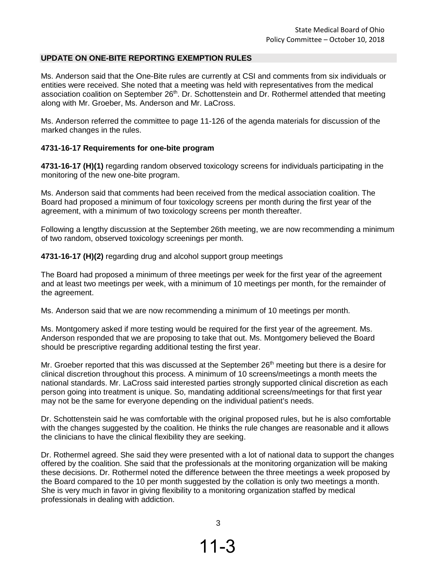#### **UPDATE ON ONE-BITE REPORTING EXEMPTION RULES**

Ms. Anderson said that the One-Bite rules are currently at CSI and comments from six individuals or entities were received. She noted that a meeting was held with representatives from the medical association coalition on September 26<sup>th</sup>. Dr. Schottenstein and Dr. Rothermel attended that meeting along with Mr. Groeber, Ms. Anderson and Mr. LaCross.

Ms. Anderson referred the committee to page 11-126 of the agenda materials for discussion of the marked changes in the rules.

#### **4731-16-17 Requirements for one-bite program**

**4731-16-17 (H)(1)** regarding random observed toxicology screens for individuals participating in the monitoring of the new one-bite program.

Ms. Anderson said that comments had been received from the medical association coalition. The Board had proposed a minimum of four toxicology screens per month during the first year of the agreement, with a minimum of two toxicology screens per month thereafter.

Following a lengthy discussion at the September 26th meeting, we are now recommending a minimum of two random, observed toxicology screenings per month.

**4731-16-17 (H)(2)** regarding drug and alcohol support group meetings

The Board had proposed a minimum of three meetings per week for the first year of the agreement and at least two meetings per week, with a minimum of 10 meetings per month, for the remainder of the agreement.

Ms. Anderson said that we are now recommending a minimum of 10 meetings per month.

Ms. Montgomery asked if more testing would be required for the first year of the agreement. Ms. Anderson responded that we are proposing to take that out. Ms. Montgomery believed the Board should be prescriptive regarding additional testing the first year.

Mr. Groeber reported that this was discussed at the September 26<sup>th</sup> meeting but there is a desire for clinical discretion throughout this process. A minimum of 10 screens/meetings a month meets the national standards. Mr. LaCross said interested parties strongly supported clinical discretion as each person going into treatment is unique. So, mandating additional screens/meetings for that first year may not be the same for everyone depending on the individual patient's needs.

Dr. Schottenstein said he was comfortable with the original proposed rules, but he is also comfortable with the changes suggested by the coalition. He thinks the rule changes are reasonable and it allows the clinicians to have the clinical flexibility they are seeking.

Dr. Rothermel agreed. She said they were presented with a lot of national data to support the changes offered by the coalition. She said that the professionals at the monitoring organization will be making these decisions. Dr. Rothermel noted the difference between the three meetings a week proposed by the Board compared to the 10 per month suggested by the collation is only two meetings a month. She is very much in favor in giving flexibility to a monitoring organization staffed by medical professionals in dealing with addiction.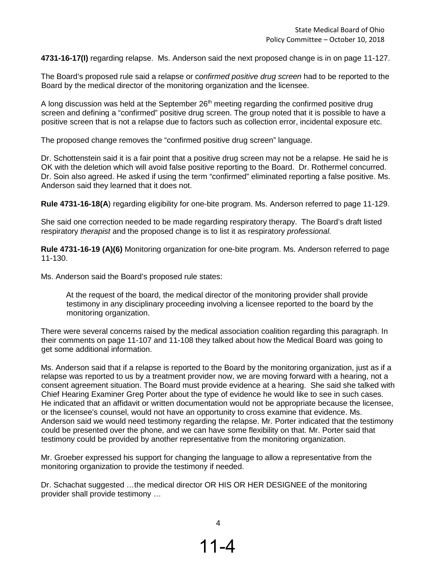**4731-16-17(I)** regarding relapse. Ms. Anderson said the next proposed change is in on page 11-127.

The Board's proposed rule said a relapse or c*onfirmed positive drug screen* had to be reported to the Board by the medical director of the monitoring organization and the licensee.

A long discussion was held at the September  $26<sup>th</sup>$  meeting regarding the confirmed positive drug screen and defining a "confirmed" positive drug screen. The group noted that it is possible to have a positive screen that is not a relapse due to factors such as collection error, incidental exposure etc.

The proposed change removes the "confirmed positive drug screen" language.

Dr. Schottenstein said it is a fair point that a positive drug screen may not be a relapse. He said he is OK with the deletion which will avoid false positive reporting to the Board. Dr. Rothermel concurred. Dr. Soin also agreed. He asked if using the term "confirmed" eliminated reporting a false positive. Ms. Anderson said they learned that it does not.

**Rule 4731-16-18(A**) regarding eligibility for one-bite program. Ms. Anderson referred to page 11-129.

She said one correction needed to be made regarding respiratory therapy. The Board's draft listed respiratory *therapist* and the proposed change is to list it as respiratory *professional.*

**Rule 4731-16-19 (A)(6)** Monitoring organization for one-bite program. Ms. Anderson referred to page 11-130.

Ms. Anderson said the Board's proposed rule states:

At the request of the board, the medical director of the monitoring provider shall provide testimony in any disciplinary proceeding involving a licensee reported to the board by the monitoring organization.

There were several concerns raised by the medical association coalition regarding this paragraph. In their comments on page 11-107 and 11-108 they talked about how the Medical Board was going to get some additional information.

Ms. Anderson said that if a relapse is reported to the Board by the monitoring organization, just as if a relapse was reported to us by a treatment provider now, we are moving forward with a hearing, not a consent agreement situation. The Board must provide evidence at a hearing. She said she talked with Chief Hearing Examiner Greg Porter about the type of evidence he would like to see in such cases. He indicated that an affidavit or written documentation would not be appropriate because the licensee, or the licensee's counsel, would not have an opportunity to cross examine that evidence. Ms. Anderson said we would need testimony regarding the relapse. Mr. Porter indicated that the testimony could be presented over the phone, and we can have some flexibility on that. Mr. Porter said that testimony could be provided by another representative from the monitoring organization.

Mr. Groeber expressed his support for changing the language to allow a representative from the monitoring organization to provide the testimony if needed.

Dr. Schachat suggested …the medical director OR HIS OR HER DESIGNEE of the monitoring provider shall provide testimony …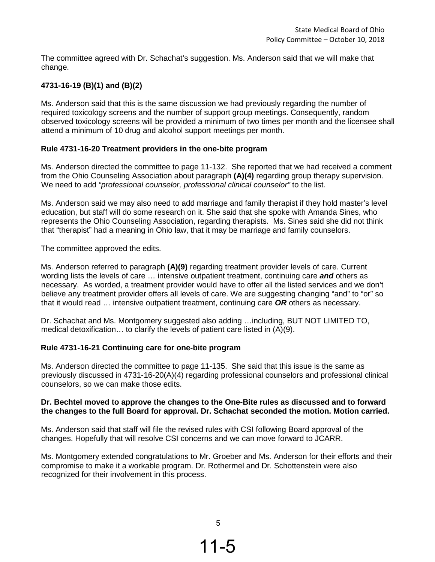The committee agreed with Dr. Schachat's suggestion. Ms. Anderson said that we will make that change.

# **4731-16-19 (B)(1) and (B)(2)**

Ms. Anderson said that this is the same discussion we had previously regarding the number of required toxicology screens and the number of support group meetings. Consequently, random observed toxicology screens will be provided a minimum of two times per month and the licensee shall attend a minimum of 10 drug and alcohol support meetings per month.

### **Rule 4731-16-20 Treatment providers in the one-bite program**

Ms. Anderson directed the committee to page 11-132. She reported that we had received a comment from the Ohio Counseling Association about paragraph **(A)(4)** regarding group therapy supervision. We need to add *"professional counselor, professional clinical counselor"* to the list.

Ms. Anderson said we may also need to add marriage and family therapist if they hold master's level education, but staff will do some research on it. She said that she spoke with Amanda Sines, who represents the Ohio Counseling Association, regarding therapists. Ms. Sines said she did not think that "therapist" had a meaning in Ohio law, that it may be marriage and family counselors.

The committee approved the edits.

Ms. Anderson referred to paragraph **(A)(9)** regarding treatment provider levels of care. Current wording lists the levels of care … intensive outpatient treatment, continuing care *and* others as necessary. As worded, a treatment provider would have to offer all the listed services and we don't believe any treatment provider offers all levels of care. We are suggesting changing "and" to "or" so that it would read … intensive outpatient treatment, continuing care *OR* others as necessary.

Dr. Schachat and Ms. Montgomery suggested also adding …including, BUT NOT LIMITED TO, medical detoxification… to clarify the levels of patient care listed in (A)(9).

# **Rule 4731-16-21 Continuing care for one-bite program**

Ms. Anderson directed the committee to page 11-135. She said that this issue is the same as previously discussed in 4731-16-20(A)(4) regarding professional counselors and professional clinical counselors, so we can make those edits.

### **Dr. Bechtel moved to approve the changes to the One-Bite rules as discussed and to forward the changes to the full Board for approval. Dr. Schachat seconded the motion. Motion carried.**

Ms. Anderson said that staff will file the revised rules with CSI following Board approval of the changes. Hopefully that will resolve CSI concerns and we can move forward to JCARR.

Ms. Montgomery extended congratulations to Mr. Groeber and Ms. Anderson for their efforts and their compromise to make it a workable program. Dr. Rothermel and Dr. Schottenstein were also recognized for their involvement in this process.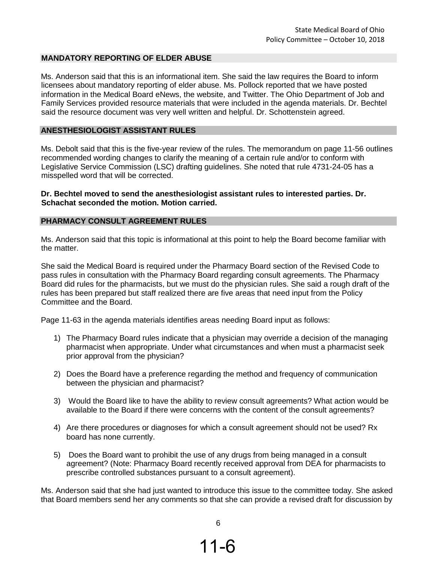#### **MANDATORY REPORTING OF ELDER ABUSE**

Ms. Anderson said that this is an informational item. She said the law requires the Board to inform licensees about mandatory reporting of elder abuse. Ms. Pollock reported that we have posted information in the Medical Board eNews, the website, and Twitter. The Ohio Department of Job and Family Services provided resource materials that were included in the agenda materials. Dr. Bechtel said the resource document was very well written and helpful. Dr. Schottenstein agreed.

#### **ANESTHESIOLOGIST ASSISTANT RULES**

Ms. Debolt said that this is the five-year review of the rules. The memorandum on page 11-56 outlines recommended wording changes to clarify the meaning of a certain rule and/or to conform with Legislative Service Commission (LSC) drafting guidelines. She noted that rule 4731-24-05 has a misspelled word that will be corrected.

#### **Dr. Bechtel moved to send the anesthesiologist assistant rules to interested parties. Dr. Schachat seconded the motion. Motion carried.**

#### **PHARMACY CONSULT AGREEMENT RULES**

Ms. Anderson said that this topic is informational at this point to help the Board become familiar with the matter.

She said the Medical Board is required under the Pharmacy Board section of the Revised Code to pass rules in consultation with the Pharmacy Board regarding consult agreements. The Pharmacy Board did rules for the pharmacists, but we must do the physician rules. She said a rough draft of the rules has been prepared but staff realized there are five areas that need input from the Policy Committee and the Board.

Page 11-63 in the agenda materials identifies areas needing Board input as follows:

- 1) The Pharmacy Board rules indicate that a physician may override a decision of the managing pharmacist when appropriate. Under what circumstances and when must a pharmacist seek prior approval from the physician?
- 2) Does the Board have a preference regarding the method and frequency of communication between the physician and pharmacist?
- 3) Would the Board like to have the ability to review consult agreements? What action would be available to the Board if there were concerns with the content of the consult agreements?
- 4) Are there procedures or diagnoses for which a consult agreement should not be used? Rx board has none currently.
- 5) Does the Board want to prohibit the use of any drugs from being managed in a consult agreement? (Note: Pharmacy Board recently received approval from DEA for pharmacists to prescribe controlled substances pursuant to a consult agreement).

Ms. Anderson said that she had just wanted to introduce this issue to the committee today. She asked that Board members send her any comments so that she can provide a revised draft for discussion by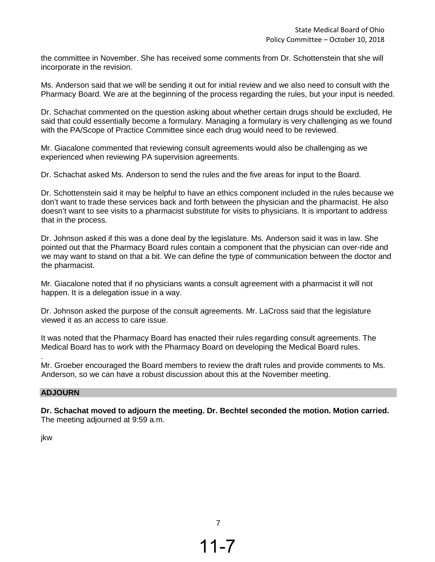the committee in November. She has received some comments from Dr. Schottenstein that she will incorporate in the revision.

Ms. Anderson said that we will be sending it out for initial review and we also need to consult with the Pharmacy Board. We are at the beginning of the process regarding the rules, but your input is needed.

Dr. Schachat commented on the question asking about whether certain drugs should be excluded, He said that could essentially become a formulary. Managing a formulary is very challenging as we found with the PA/Scope of Practice Committee since each drug would need to be reviewed.

Mr. Giacalone commented that reviewing consult agreements would also be challenging as we experienced when reviewing PA supervision agreements.

Dr. Schachat asked Ms. Anderson to send the rules and the five areas for input to the Board.

Dr. Schottenstein said it may be helpful to have an ethics component included in the rules because we don't want to trade these services back and forth between the physician and the pharmacist. He also doesn't want to see visits to a pharmacist substitute for visits to physicians. It is important to address that in the process.

Dr. Johnson asked if this was a done deal by the legislature. Ms. Anderson said it was in law. She pointed out that the Pharmacy Board rules contain a component that the physician can over-ride and we may want to stand on that a bit. We can define the type of communication between the doctor and the pharmacist.

Mr. Giacalone noted that if no physicians wants a consult agreement with a pharmacist it will not happen. It is a delegation issue in a way.

Dr. Johnson asked the purpose of the consult agreements. Mr. LaCross said that the legislature viewed it as an access to care issue.

It was noted that the Pharmacy Board has enacted their rules regarding consult agreements. The Medical Board has to work with the Pharmacy Board on developing the Medical Board rules.

Mr. Groeber encouraged the Board members to review the draft rules and provide comments to Ms. Anderson, so we can have a robust discussion about this at the November meeting.

### **ADJOURN**

**Dr. Schachat moved to adjourn the meeting. Dr. Bechtel seconded the motion. Motion carried.** The meeting adjourned at 9:59 a.m.

jkw

.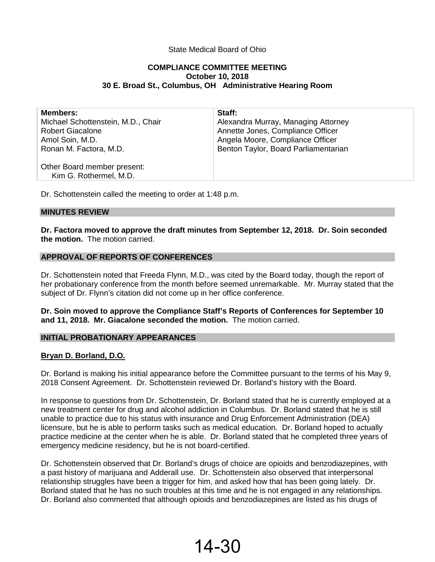### State Medical Board of Ohio

#### **COMPLIANCE COMMITTEE MEETING October 10, 2018 30 E. Broad St., Columbus, OH Administrative Hearing Room**

| <b>Members:</b>                    | Staff:                               |
|------------------------------------|--------------------------------------|
| Michael Schottenstein, M.D., Chair | Alexandra Murray, Managing Attorney  |
| <b>Robert Giacalone</b>            | Annette Jones, Compliance Officer    |
| Amol Soin, M.D.                    | Angela Moore, Compliance Officer     |
| Ronan M. Factora, M.D.             | Benton Taylor, Board Parliamentarian |
|                                    |                                      |
| Other Board member present:        |                                      |
| Kim G. Rothermel, M.D.             |                                      |
|                                    |                                      |

Dr. Schottenstein called the meeting to order at 1:48 p.m.

#### **MINUTES REVIEW**

**Dr. Factora moved to approve the draft minutes from September 12, 2018. Dr. Soin seconded the motion.** The motion carried.

#### **APPROVAL OF REPORTS OF CONFERENCES**

Dr. Schottenstein noted that Freeda Flynn, M.D., was cited by the Board today, though the report of her probationary conference from the month before seemed unremarkable. Mr. Murray stated that the subject of Dr. Flynn's citation did not come up in her office conference.

**Dr. Soin moved to approve the Compliance Staff's Reports of Conferences for September 10 and 11, 2018. Mr. Giacalone seconded the motion.** The motion carried.

#### **INITIAL PROBATIONARY APPEARANCES**

#### **Bryan D. Borland, D.O.**

Dr. Borland is making his initial appearance before the Committee pursuant to the terms of his May 9, 2018 Consent Agreement. Dr. Schottenstein reviewed Dr. Borland's history with the Board.

In response to questions from Dr. Schottenstein, Dr. Borland stated that he is currently employed at a new treatment center for drug and alcohol addiction in Columbus. Dr. Borland stated that he is still unable to practice due to his status with insurance and Drug Enforcement Administration (DEA) licensure, but he is able to perform tasks such as medical education. Dr. Borland hoped to actually practice medicine at the center when he is able. Dr. Borland stated that he completed three years of emergency medicine residency, but he is not board-certified.

Dr. Schottenstein observed that Dr. Borland's drugs of choice are opioids and benzodiazepines, with a past history of marijuana and Adderall use. Dr. Schottenstein also observed that interpersonal relationship struggles have been a trigger for him, and asked how that has been going lately. Dr. Borland stated that he has no such troubles at this time and he is not engaged in any relationships. Dr. Borland also commented that although opioids and benzodiazepines are listed as his drugs of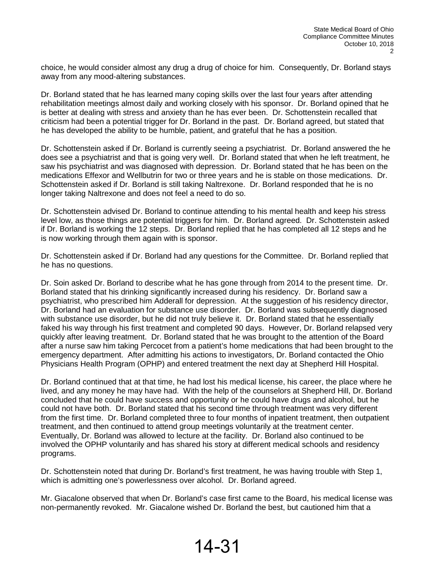choice, he would consider almost any drug a drug of choice for him. Consequently, Dr. Borland stays away from any mood-altering substances.

Dr. Borland stated that he has learned many coping skills over the last four years after attending rehabilitation meetings almost daily and working closely with his sponsor. Dr. Borland opined that he is better at dealing with stress and anxiety than he has ever been. Dr. Schottenstein recalled that criticism had been a potential trigger for Dr. Borland in the past. Dr. Borland agreed, but stated that he has developed the ability to be humble, patient, and grateful that he has a position.

Dr. Schottenstein asked if Dr. Borland is currently seeing a psychiatrist. Dr. Borland answered the he does see a psychiatrist and that is going very well. Dr. Borland stated that when he left treatment, he saw his psychiatrist and was diagnosed with depression. Dr. Borland stated that he has been on the medications Effexor and Wellbutrin for two or three years and he is stable on those medications. Dr. Schottenstein asked if Dr. Borland is still taking Naltrexone. Dr. Borland responded that he is no longer taking Naltrexone and does not feel a need to do so.

Dr. Schottenstein advised Dr. Borland to continue attending to his mental health and keep his stress level low, as those things are potential triggers for him. Dr. Borland agreed. Dr. Schottenstein asked if Dr. Borland is working the 12 steps. Dr. Borland replied that he has completed all 12 steps and he is now working through them again with is sponsor.

Dr. Schottenstein asked if Dr. Borland had any questions for the Committee. Dr. Borland replied that he has no questions.

Dr. Soin asked Dr. Borland to describe what he has gone through from 2014 to the present time. Dr. Borland stated that his drinking significantly increased during his residency. Dr. Borland saw a psychiatrist, who prescribed him Adderall for depression. At the suggestion of his residency director, Dr. Borland had an evaluation for substance use disorder. Dr. Borland was subsequently diagnosed with substance use disorder, but he did not truly believe it. Dr. Borland stated that he essentially faked his way through his first treatment and completed 90 days. However, Dr. Borland relapsed very quickly after leaving treatment. Dr. Borland stated that he was brought to the attention of the Board after a nurse saw him taking Percocet from a patient's home medications that had been brought to the emergency department. After admitting his actions to investigators, Dr. Borland contacted the Ohio Physicians Health Program (OPHP) and entered treatment the next day at Shepherd Hill Hospital.

Dr. Borland continued that at that time, he had lost his medical license, his career, the place where he lived, and any money he may have had. With the help of the counselors at Shepherd Hill, Dr. Borland concluded that he could have success and opportunity or he could have drugs and alcohol, but he could not have both. Dr. Borland stated that his second time through treatment was very different from the first time. Dr. Borland completed three to four months of inpatient treatment, then outpatient treatment, and then continued to attend group meetings voluntarily at the treatment center. Eventually, Dr. Borland was allowed to lecture at the facility. Dr. Borland also continued to be involved the OPHP voluntarily and has shared his story at different medical schools and residency programs.

Dr. Schottenstein noted that during Dr. Borland's first treatment, he was having trouble with Step 1, which is admitting one's powerlessness over alcohol. Dr. Borland agreed.

Mr. Giacalone observed that when Dr. Borland's case first came to the Board, his medical license was non-permanently revoked. Mr. Giacalone wished Dr. Borland the best, but cautioned him that a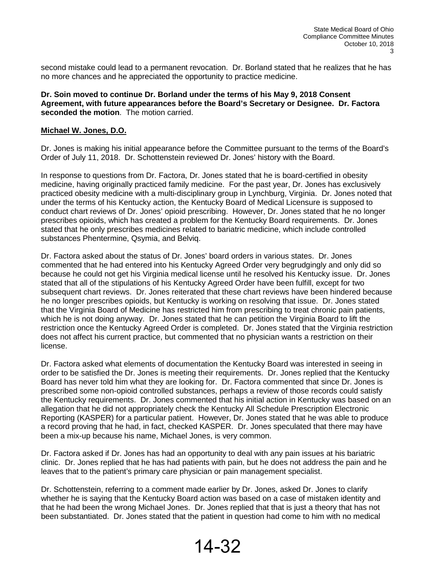second mistake could lead to a permanent revocation. Dr. Borland stated that he realizes that he has no more chances and he appreciated the opportunity to practice medicine.

**Dr. Soin moved to continue Dr. Borland under the terms of his May 9, 2018 Consent Agreement, with future appearances before the Board's Secretary or Designee. Dr. Factora seconded the motion**. The motion carried.

#### **Michael W. Jones, D.O.**

Dr. Jones is making his initial appearance before the Committee pursuant to the terms of the Board's Order of July 11, 2018. Dr. Schottenstein reviewed Dr. Jones' history with the Board.

In response to questions from Dr. Factora, Dr. Jones stated that he is board-certified in obesity medicine, having originally practiced family medicine. For the past year, Dr. Jones has exclusively practiced obesity medicine with a multi-disciplinary group in Lynchburg, Virginia. Dr. Jones noted that under the terms of his Kentucky action, the Kentucky Board of Medical Licensure is supposed to conduct chart reviews of Dr. Jones' opioid prescribing. However, Dr. Jones stated that he no longer prescribes opioids, which has created a problem for the Kentucky Board requirements. Dr. Jones stated that he only prescribes medicines related to bariatric medicine, which include controlled substances Phentermine, Qsymia, and Belviq.

Dr. Factora asked about the status of Dr. Jones' board orders in various states. Dr. Jones commented that he had entered into his Kentucky Agreed Order very begrudgingly and only did so because he could not get his Virginia medical license until he resolved his Kentucky issue. Dr. Jones stated that all of the stipulations of his Kentucky Agreed Order have been fulfill, except for two subsequent chart reviews. Dr. Jones reiterated that these chart reviews have been hindered because he no longer prescribes opioids, but Kentucky is working on resolving that issue. Dr. Jones stated that the Virginia Board of Medicine has restricted him from prescribing to treat chronic pain patients, which he is not doing anyway. Dr. Jones stated that he can petition the Virginia Board to lift the restriction once the Kentucky Agreed Order is completed. Dr. Jones stated that the Virginia restriction does not affect his current practice, but commented that no physician wants a restriction on their license.

Dr. Factora asked what elements of documentation the Kentucky Board was interested in seeing in order to be satisfied the Dr. Jones is meeting their requirements. Dr. Jones replied that the Kentucky Board has never told him what they are looking for. Dr. Factora commented that since Dr. Jones is prescribed some non-opioid controlled substances, perhaps a review of those records could satisfy the Kentucky requirements. Dr. Jones commented that his initial action in Kentucky was based on an allegation that he did not appropriately check the Kentucky All Schedule Prescription Electronic Reporting (KASPER) for a particular patient. However, Dr. Jones stated that he was able to produce a record proving that he had, in fact, checked KASPER. Dr. Jones speculated that there may have been a mix-up because his name, Michael Jones, is very common.

Dr. Factora asked if Dr. Jones has had an opportunity to deal with any pain issues at his bariatric clinic. Dr. Jones replied that he has had patients with pain, but he does not address the pain and he leaves that to the patient's primary care physician or pain management specialist.

Dr. Schottenstein, referring to a comment made earlier by Dr. Jones, asked Dr. Jones to clarify whether he is saying that the Kentucky Board action was based on a case of mistaken identity and that he had been the wrong Michael Jones. Dr. Jones replied that that is just a theory that has not been substantiated. Dr. Jones stated that the patient in question had come to him with no medical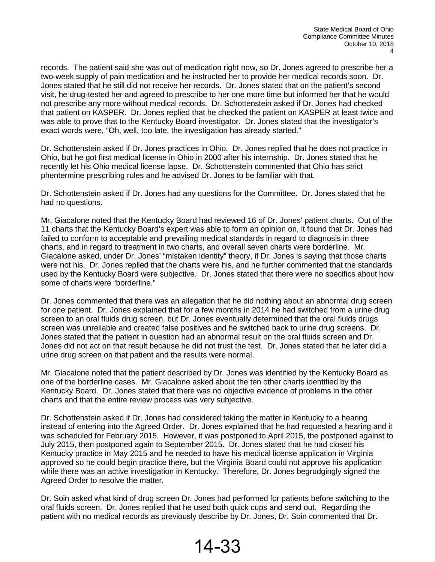records. The patient said she was out of medication right now, so Dr. Jones agreed to prescribe her a two-week supply of pain medication and he instructed her to provide her medical records soon. Dr. Jones stated that he still did not receive her records. Dr. Jones stated that on the patient's second visit, he drug-tested her and agreed to prescribe to her one more time but informed her that he would not prescribe any more without medical records. Dr. Schottenstein asked if Dr. Jones had checked that patient on KASPER. Dr. Jones replied that he checked the patient on KASPER at least twice and was able to prove that to the Kentucky Board investigator. Dr. Jones stated that the investigator's exact words were, "Oh, well, too late, the investigation has already started."

Dr. Schottenstein asked if Dr. Jones practices in Ohio. Dr. Jones replied that he does not practice in Ohio, but he got first medical license in Ohio in 2000 after his internship. Dr. Jones stated that he recently let his Ohio medical license lapse. Dr. Schottenstein commented that Ohio has strict phentermine prescribing rules and he advised Dr. Jones to be familiar with that.

Dr. Schottenstein asked if Dr. Jones had any questions for the Committee. Dr. Jones stated that he had no questions.

Mr. Giacalone noted that the Kentucky Board had reviewed 16 of Dr. Jones' patient charts. Out of the 11 charts that the Kentucky Board's expert was able to form an opinion on, it found that Dr. Jones had failed to conform to acceptable and prevailing medical standards in regard to diagnosis in three charts, and in regard to treatment in two charts, and overall seven charts were borderline. Mr. Giacalone asked, under Dr. Jones' "mistaken identity" theory, if Dr. Jones is saying that those charts were not his. Dr. Jones replied that the charts were his, and he further commented that the standards used by the Kentucky Board were subjective. Dr. Jones stated that there were no specifics about how some of charts were "borderline."

Dr. Jones commented that there was an allegation that he did nothing about an abnormal drug screen for one patient. Dr. Jones explained that for a few months in 2014 he had switched from a urine drug screen to an oral fluids drug screen, but Dr. Jones eventually determined that the oral fluids drugs screen was unreliable and created false positives and he switched back to urine drug screens. Dr. Jones stated that the patient in question had an abnormal result on the oral fluids screen and Dr. Jones did not act on that result because he did not trust the test. Dr. Jones stated that he later did a urine drug screen on that patient and the results were normal.

Mr. Giacalone noted that the patient described by Dr. Jones was identified by the Kentucky Board as one of the borderline cases. Mr. Giacalone asked about the ten other charts identified by the Kentucky Board. Dr. Jones stated that there was no objective evidence of problems in the other charts and that the entire review process was very subjective.

Dr. Schottenstein asked if Dr. Jones had considered taking the matter in Kentucky to a hearing instead of entering into the Agreed Order. Dr. Jones explained that he had requested a hearing and it was scheduled for February 2015. However, it was postponed to April 2015, the postponed against to July 2015, then postponed again to September 2015. Dr. Jones stated that he had closed his Kentucky practice in May 2015 and he needed to have his medical license application in Virginia approved so he could begin practice there, but the Virginia Board could not approve his application while there was an active investigation in Kentucky. Therefore, Dr. Jones begrudgingly signed the Agreed Order to resolve the matter.

Dr. Soin asked what kind of drug screen Dr. Jones had performed for patients before switching to the oral fluids screen. Dr. Jones replied that he used both quick cups and send out. Regarding the patient with no medical records as previously describe by Dr. Jones, Dr. Soin commented that Dr.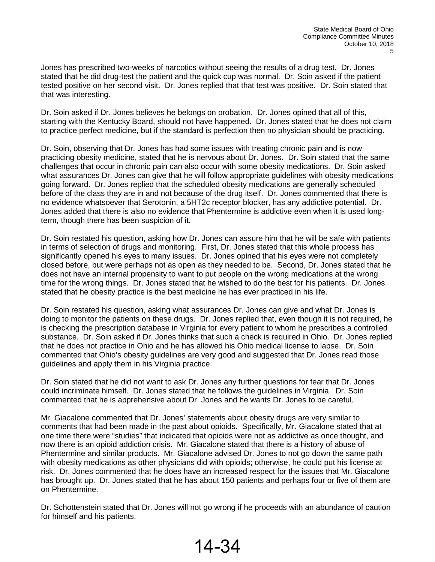Jones has prescribed two-weeks of narcotics without seeing the results of a drug test. Dr. Jones stated that he did drug-test the patient and the quick cup was normal. Dr. Soin asked if the patient tested positive on her second visit. Dr. Jones replied that that test was positive. Dr. Soin stated that that was interesting.

Dr. Soin asked if Dr. Jones believes he belongs on probation. Dr. Jones opined that all of this, starting with the Kentucky Board, should not have happened. Dr. Jones stated that he does not claim to practice perfect medicine, but if the standard is perfection then no physician should be practicing.

Dr. Soin, observing that Dr. Jones has had some issues with treating chronic pain and is now practicing obesity medicine, stated that he is nervous about Dr. Jones. Dr. Soin stated that the same challenges that occur in chronic pain can also occur with some obesity medications. Dr. Soin asked what assurances Dr. Jones can give that he will follow appropriate guidelines with obesity medications going forward. Dr. Jones replied that the scheduled obesity medications are generally scheduled before of the class they are in and not because of the drug itself. Dr. Jones commented that there is no evidence whatsoever that Serotonin, a 5HT2c receptor blocker, has any addictive potential. Dr. Jones added that there is also no evidence that Phentermine is addictive even when it is used longterm, though there has been suspicion of it.

Dr. Soin restated his question, asking how Dr. Jones can assure him that he will be safe with patients in terms of selection of drugs and monitoring. First, Dr. Jones stated that this whole process has significantly opened his eyes to many issues. Dr. Jones opined that his eyes were not completely closed before, but were perhaps not as open as they needed to be. Second, Dr. Jones stated that he does not have an internal propensity to want to put people on the wrong medications at the wrong time for the wrong things. Dr. Jones stated that he wished to do the best for his patients. Dr. Jones stated that he obesity practice is the best medicine he has ever practiced in his life.

Dr. Soin restated his question, asking what assurances Dr. Jones can give and what Dr. Jones is doing to monitor the patients on these drugs. Dr. Jones replied that, even though it is not required, he is checking the prescription database in Virginia for every patient to whom he prescribes a controlled substance. Dr. Soin asked if Dr. Jones thinks that such a check is required in Ohio. Dr. Jones replied that he does not practice in Ohio and he has allowed his Ohio medical license to lapse. Dr. Soin commented that Ohio's obesity guidelines are very good and suggested that Dr. Jones read those guidelines and apply them in his Virginia practice.

Dr. Soin stated that he did not want to ask Dr. Jones any further questions for fear that Dr. Jones could incriminate himself. Dr. Jones stated that he follows the guidelines in Virginia. Dr. Soin commented that he is apprehensive about Dr. Jones and he wants Dr. Jones to be careful.

Mr. Giacalone commented that Dr. Jones' statements about obesity drugs are very similar to comments that had been made in the past about opioids. Specifically, Mr. Giacalone stated that at one time there were "studies" that indicated that opioids were not as addictive as once thought, and now there is an opioid addiction crisis. Mr. Giacalone stated that there is a history of abuse of Phentermine and similar products. Mr. Giacalone advised Dr. Jones to not go down the same path with obesity medications as other physicians did with opioids; otherwise, he could put his license at risk. Dr. Jones commented that he does have an increased respect for the issues that Mr. Giacalone has brought up. Dr. Jones stated that he has about 150 patients and perhaps four or five of them are on Phentermine.

Dr. Schottenstein stated that Dr. Jones will not go wrong if he proceeds with an abundance of caution for himself and his patients.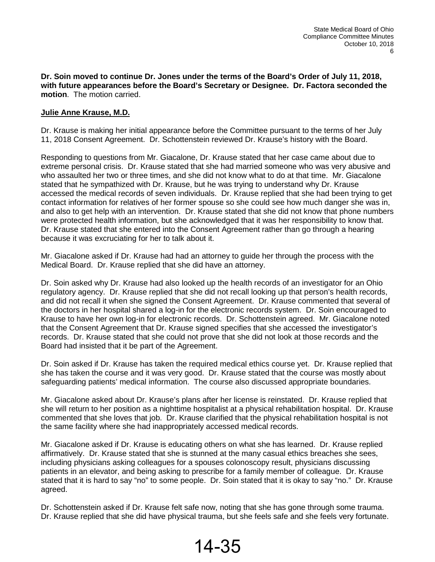**Dr. Soin moved to continue Dr. Jones under the terms of the Board's Order of July 11, 2018, with future appearances before the Board's Secretary or Designee. Dr. Factora seconded the motion**. The motion carried.

# **Julie Anne Krause, M.D.**

Dr. Krause is making her initial appearance before the Committee pursuant to the terms of her July 11, 2018 Consent Agreement. Dr. Schottenstein reviewed Dr. Krause's history with the Board.

Responding to questions from Mr. Giacalone, Dr. Krause stated that her case came about due to extreme personal crisis. Dr. Krause stated that she had married someone who was very abusive and who assaulted her two or three times, and she did not know what to do at that time. Mr. Giacalone stated that he sympathized with Dr. Krause, but he was trying to understand why Dr. Krause accessed the medical records of seven individuals. Dr. Krause replied that she had been trying to get contact information for relatives of her former spouse so she could see how much danger she was in, and also to get help with an intervention. Dr. Krause stated that she did not know that phone numbers were protected health information, but she acknowledged that it was her responsibility to know that. Dr. Krause stated that she entered into the Consent Agreement rather than go through a hearing because it was excruciating for her to talk about it.

Mr. Giacalone asked if Dr. Krause had had an attorney to guide her through the process with the Medical Board. Dr. Krause replied that she did have an attorney.

Dr. Soin asked why Dr. Krause had also looked up the health records of an investigator for an Ohio regulatory agency. Dr. Krause replied that she did not recall looking up that person's health records, and did not recall it when she signed the Consent Agreement. Dr. Krause commented that several of the doctors in her hospital shared a log-in for the electronic records system. Dr. Soin encouraged to Krause to have her own log-in for electronic records. Dr. Schottenstein agreed. Mr. Giacalone noted that the Consent Agreement that Dr. Krause signed specifies that she accessed the investigator's records. Dr. Krause stated that she could not prove that she did not look at those records and the Board had insisted that it be part of the Agreement.

Dr. Soin asked if Dr. Krause has taken the required medical ethics course yet. Dr. Krause replied that she has taken the course and it was very good. Dr. Krause stated that the course was mostly about safeguarding patients' medical information. The course also discussed appropriate boundaries.

Mr. Giacalone asked about Dr. Krause's plans after her license is reinstated. Dr. Krause replied that she will return to her position as a nighttime hospitalist at a physical rehabilitation hospital. Dr. Krause commented that she loves that job. Dr. Krause clarified that the physical rehabilitation hospital is not the same facility where she had inappropriately accessed medical records.

Mr. Giacalone asked if Dr. Krause is educating others on what she has learned. Dr. Krause replied affirmatively. Dr. Krause stated that she is stunned at the many casual ethics breaches she sees, including physicians asking colleagues for a spouses colonoscopy result, physicians discussing patients in an elevator, and being asking to prescribe for a family member of colleague. Dr. Krause stated that it is hard to say "no" to some people. Dr. Soin stated that it is okay to say "no." Dr. Krause agreed.

Dr. Schottenstein asked if Dr. Krause felt safe now, noting that she has gone through some trauma. Dr. Krause replied that she did have physical trauma, but she feels safe and she feels very fortunate.